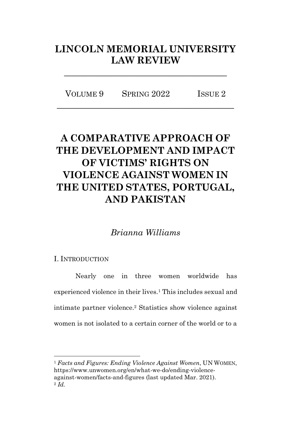# **LINCOLN MEMORIAL UNIVERSITY LAW REVIEW**

**\_\_\_\_\_\_\_\_\_\_\_\_\_\_\_\_\_\_\_\_\_\_\_\_\_\_\_\_\_\_\_\_\_\_**

VOLUME 9 SPRING 2022 ISSUE 2 **\_\_\_\_\_\_\_\_\_\_\_\_\_\_\_\_\_\_\_\_\_\_\_\_\_\_\_\_\_\_\_\_\_\_\_\_\_**

# **A COMPARATIVE APPROACH OF THE DEVELOPMENT AND IMPACT OF VICTIMS' RIGHTS ON VIOLENCE AGAINST WOMEN IN THE UNITED STATES, PORTUGAL, AND PAKISTAN**

*Brianna Williams*

## I. INTRODUCTION

Nearly one in three women worldwide has experienced violence in their lives.<sup>1</sup> This includes sexual and intimate partner violence.<sup>2</sup> Statistics show violence against women is not isolated to a certain corner of the world or to a

<sup>1</sup> *Facts and Figures: Ending Violence Against Women*, UN WOMEN, https://www.unwomen.org/en/what-we-do/ending-violenceagainst-women/facts-and-figures (last updated Mar. 2021). <sup>2</sup> *Id.*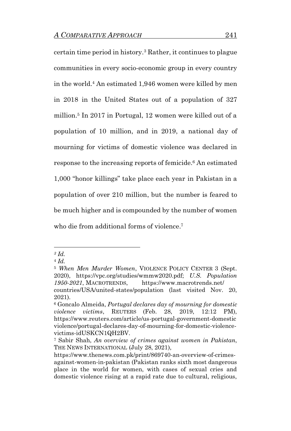certain time period in history.<sup>3</sup> Rather, it continues to plague communities in every socio-economic group in every country in the world.<sup>4</sup> An estimated 1,946 women were killed by men in 2018 in the United States out of a population of 327 million. <sup>5</sup> In 2017 in Portugal, 12 women were killed out of a population of 10 million, and in 2019, a national day of mourning for victims of domestic violence was declared in response to the increasing reports of femicide.<sup>6</sup> An estimated 1,000 "honor killings" take place each year in Pakistan in a population of over 210 million, but the number is feared to be much higher and is compounded by the number of women who die from additional forms of violence. 7

*<sup>3</sup> Id.* 

<sup>4</sup> *Id.* 

<sup>5</sup> *When Men Murder Women*, VIOLENCE POLICY CENTER 3 (Sept. 2020), https://vpc.org/studies/wmmw2020.pdf; *U.S. Population 1950-2021*, MACROTRENDS, https://www.macrotrends.net/ countries/USA/united-states/population (last visited Nov. 20,

<sup>2021).</sup>

<sup>6</sup> Goncalo Almeida, *Portugal declares day of mourning for domestic violence victims*, REUTERS (Feb. 28, 2019, 12:12 PM), https://www.reuters.com/article/us-portugal-government-domestic violence/portugal-declares-day-of-mourning-for-domestic-violencevictims-idUSKCN1QH2BV.

<sup>7</sup> Sabir Shah, *An overview of crimes against women in Pakistan*, THE NEWS INTERNATIONAL (July 28, 2021),

https://www.thenews.com.pk/print/869740-an-overview-of-crimesagainst-women-in-pakistan (Pakistan ranks sixth most dangerous place in the world for women, with cases of sexual cries and domestic violence rising at a rapid rate due to cultural, religious,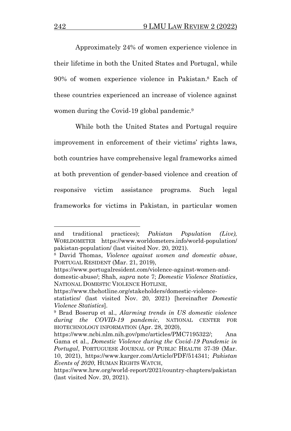Approximately 24% of women experience violence in their lifetime in both the United States and Portugal, while 90% of women experience violence in Pakistan.<sup>8</sup> Each of these countries experienced an increase of violence against women during the Covid-19 global pandemic.<sup>9</sup>

While both the United States and Portugal require improvement in enforcement of their victims' rights laws, both countries have comprehensive legal frameworks aimed at both prevention of gender-based violence and creation of responsive victim assistance programs. Such legal frameworks for victims in Pakistan, in particular women

https://www.portugalresident.com/violence-against-women-and-

https://www.thehotline.org/stakeholders/domestic-violence-

and traditional practices); *Pakistan Population (Live),* WORLDOMETER https://www.worldometers.info/world-population/ pakistan-population/ (last visited Nov. 20, 2021).

<sup>8</sup> David Thomas, *Violence against women and domestic abuse*, PORTUGAL RESIDENT (Mar. 21, 2019),

domestic-abuse/; Shah, *supra* note 7; *Domestic Violence Statistics*, NATIONAL DOMESTIC VIOLENCE HOTLINE,

statistics/ (last visited Nov. 20, 2021) [hereinafter *Domestic Violence Statistics*].

<sup>9</sup> Brad Boserup et al., *Alarming trends in US domestic violence during the COVID-19 pandemic*, NATIONAL CENTER FOR BIOTECHNOLOGY INFORMATION (Apr. 28, 2020),

https://www.ncbi.nlm.nih.gov/pmc/articles/PMC7195322/; Ana Gama et al., *Domestic Violence during the Covid-19 Pandemic in Portugal*, PORTUGUESE JOURNAL OF PUBLIC HEALTH 37-39 (Mar. 10, 2021), https://www.karger.com/Article/PDF/514341; *Pakistan Events of 2020*, HUMAN RIGHTS WATCH,

https://www.hrw.org/world-report/2021/country-chapters/pakistan (last visited Nov. 20, 2021).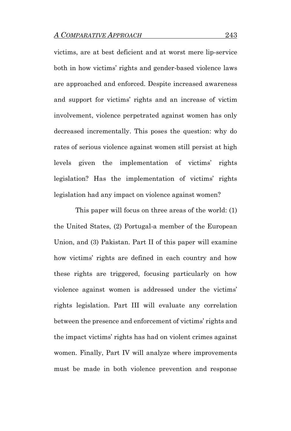victims, are at best deficient and at worst mere lip-service both in how victims' rights and gender-based violence laws are approached and enforced. Despite increased awareness and support for victims' rights and an increase of victim involvement, violence perpetrated against women has only decreased incrementally. This poses the question: why do rates of serious violence against women still persist at high levels given the implementation of victims' rights legislation? Has the implementation of victims' rights legislation had any impact on violence against women?

This paper will focus on three areas of the world: (1) the United States, (2) Portugal-a member of the European Union, and (3) Pakistan. Part II of this paper will examine how victims' rights are defined in each country and how these rights are triggered, focusing particularly on how violence against women is addressed under the victims' rights legislation. Part III will evaluate any correlation between the presence and enforcement of victims' rights and the impact victims' rights has had on violent crimes against women. Finally, Part IV will analyze where improvements must be made in both violence prevention and response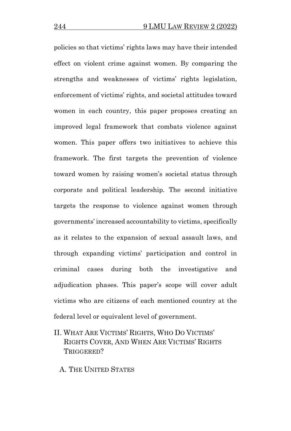policies so that victims' rights laws may have their intended effect on violent crime against women. By comparing the strengths and weaknesses of victims' rights legislation, enforcement of victims' rights, and societal attitudes toward women in each country, this paper proposes creating an improved legal framework that combats violence against women. This paper offers two initiatives to achieve this framework. The first targets the prevention of violence toward women by raising women's societal status through corporate and political leadership. The second initiative targets the response to violence against women through governments' increased accountability to victims, specifically as it relates to the expansion of sexual assault laws, and through expanding victims' participation and control in criminal cases during both the investigative and adjudication phases. This paper's scope will cover adult victims who are citizens of each mentioned country at the federal level or equivalent level of government.

II. WHAT ARE VICTIMS' RIGHTS, WHO DO VICTIMS' RIGHTS COVER, AND WHEN ARE VICTIMS' RIGHTS TRIGGERED?

A. THE UNITED STATES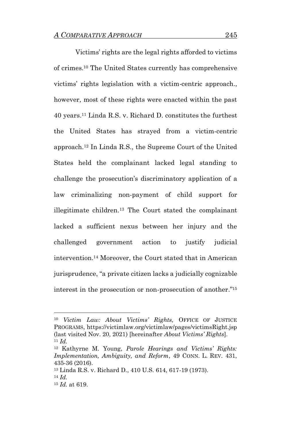Victims' rights are the legal rights afforded to victims of crimes.<sup>10</sup> The United States currently has comprehensive victims' rights legislation with a victim-centric approach., however, most of these rights were enacted within the past 40 years. <sup>11</sup> Linda R.S. v. Richard D. constitutes the furthest the United States has strayed from a victim-centric approach.<sup>12</sup> In Linda R.S., the Supreme Court of the United States held the complainant lacked legal standing to challenge the prosecution's discriminatory application of a law criminalizing non-payment of child support for illegitimate children.<sup>13</sup> The Court stated the complainant lacked a sufficient nexus between her injury and the challenged government action to justify judicial intervention.<sup>14</sup> Moreover, the Court stated that in American jurisprudence, "a private citizen lacks a judicially cognizable interest in the prosecution or non-prosecution of another." 15

<sup>10</sup> *Victim Law: About Victims' Rights,* OFFICE OF JUSTICE PROGRAMS, https://victimlaw.org/victimlaw/pages/victimsRight.jsp (last visited Nov. 20, 2021) [hereinafter *About Victims' Rights*].  $11 \, Id.$ 

<sup>12</sup> Kathyrne M. Young, *Parole Hearings and Victims' Rights: Implementation, Ambiguity, and Reform*, 49 CONN. L. REV. 431, 435-36 (2016).

<sup>13</sup> Linda R.S. v. Richard D*.*, 410 U.S. 614, 617-19 (1973). <sup>14</sup> *Id.* 

<sup>15</sup> *Id.* at 619.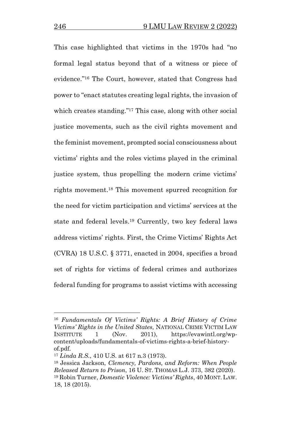This case highlighted that victims in the 1970s had "no formal legal status beyond that of a witness or piece of evidence." <sup>16</sup> The Court, however, stated that Congress had power to "enact statutes creating legal rights, the invasion of which creates standing."<sup>17</sup> This case, along with other social justice movements, such as the civil rights movement and the feminist movement, prompted social consciousness about victims' rights and the roles victims played in the criminal justice system, thus propelling the modern crime victims' rights movement. <sup>18</sup> This movement spurred recognition for the need for victim participation and victims' services at the state and federal levels. <sup>19</sup> Currently, two key federal laws address victims' rights. First, the Crime Victims' Rights Act (CVRA) 18 U.S.C. § 3771, enacted in 2004, specifies a broad set of rights for victims of federal crimes and authorizes federal funding for programs to assist victims with accessing

<sup>16</sup> *Fundamentals Of Victims' Rights: A Brief History of Crime Victims' Rights in the United States,* NATIONAL CRIME VICTIM LAW INSTITUTE 1 (Nov. 2011), https://evawintl.org/wpcontent/uploads/fundamentals-of-victims-rights-a-brief-historyof.pdf.

<sup>17</sup> *Linda R.S.*, 410 U.S. at 617 n.3 (1973).

<sup>18</sup> Jessica Jackson, *Clemency, Pardons, and Reform: When People Released Return to Prison*, 16 U. ST. THOMAS L.J. 373, 382 (2020). <sup>19</sup> Robin Turner, *Domestic Violence: Victims' Rights*, 40 MONT. LAW. 18, 18 (2015).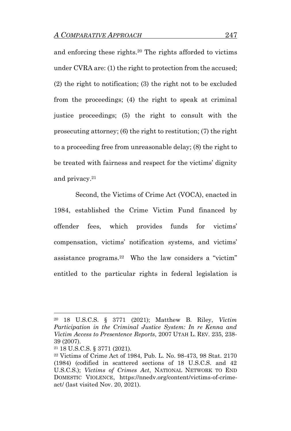and enforcing these rights.<sup>20</sup> The rights afforded to victims under CVRA are: (1) the right to protection from the accused; (2) the right to notification; (3) the right not to be excluded from the proceedings; (4) the right to speak at criminal justice proceedings; (5) the right to consult with the prosecuting attorney; (6) the right to restitution; (7) the right to a proceeding free from unreasonable delay; (8) the right to be treated with fairness and respect for the victims' dignity and privacy.<sup>21</sup>

Second, the Victims of Crime Act (VOCA), enacted in 1984, established the Crime Victim Fund financed by offender fees, which provides funds for victims' compensation, victims' notification systems, and victims' assistance programs.<sup>22</sup> Who the law considers a "victim" entitled to the particular rights in federal legislation is

<sup>20</sup> 18 U.S.C.S. § 3771 (2021); Matthew B. Riley, *Victim Participation in the Criminal Justice System: In re Kenna and Victim Access to Presentence Reports*, 2007 UTAH L. REV. 235, 238- 39 (2007).

<sup>21</sup> 18 U.S.C.S. § 3771 (2021).

<sup>22</sup> Victims of Crime Act of 1984, Pub. L. No. 98-473, 98 Stat. 2170 (1984) (codified in scattered sections of 18 U.S.C.S. and 42 U.S.C.S.); *Victims of Crimes Act*, NATIONAL NETWORK TO END DOMESTIC VIOLENCE, https://nnedv.org/content/victims-of-crimeact/ (last visited Nov. 20, 2021).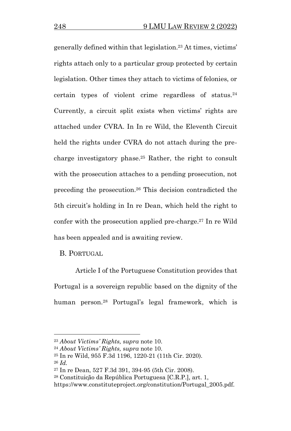generally defined within that legislation.<sup>23</sup> At times, victims' rights attach only to a particular group protected by certain legislation. Other times they attach to victims of felonies, or certain types of violent crime regardless of status.<sup>24</sup> Currently, a circuit split exists when victims' rights are attached under CVRA. In In re Wild, the Eleventh Circuit held the rights under CVRA do not attach during the precharge investigatory phase.<sup>25</sup> Rather, the right to consult with the prosecution attaches to a pending prosecution, not preceding the prosecution.<sup>26</sup> This decision contradicted the 5th circuit's holding in In re Dean, which held the right to confer with the prosecution applied pre-charge.<sup>27</sup> In re Wild has been appealed and is awaiting review.

B. PORTUGAL

Article I of the Portuguese Constitution provides that Portugal is a sovereign republic based on the dignity of the human person.<sup>28</sup> Portugal's legal framework, which is

<sup>23</sup> *About Victims' Rights,* s*upra* note 10.

<sup>24</sup> *About Victims' Rights,* s*upra* note 10.

<sup>25</sup> In re Wild, 955 F.3d 1196, 1220-21 (11th Cir. 2020).

<sup>26</sup> *Id.*

<sup>27</sup> In re Dean, 527 F.3d 391, 394-95 (5th Cir. 2008).

<sup>28</sup> Constituição da República Portuguesa [C.R.P.], art. 1,

https://www.constituteproject.org/constitution/Portugal\_2005.pdf.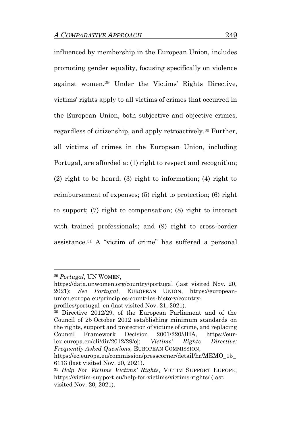influenced by membership in the European Union, includes promoting gender equality, focusing specifically on violence against women.<sup>29</sup> Under the Victims' Rights Directive, victims' rights apply to all victims of crimes that occurred in the European Union, both subjective and objective crimes, regardless of citizenship, and apply retroactively. <sup>30</sup> Further, all victims of crimes in the European Union, including Portugal, are afforded a: (1) right to respect and recognition; (2) right to be heard; (3) right to information; (4) right to reimbursement of expenses; (5) right to protection; (6) right to support; (7) right to compensation; (8) right to interact with trained professionals; and (9) right to cross-border assistance.<sup>31</sup> A "victim of crime" has suffered a personal

https://data.unwomen.org/country/portugal (last visited Nov. 20, 2021); *See Portugal*, EUROPEAN UNION, https://europeanunion.europa.eu/principles-countries-history/country-

<sup>29</sup> *Portugal*, UN WOMEN,

profiles/portugal\_en (last visited Nov. 21, 2021).

<sup>30</sup> Directive 2012/29, of the European Parliament and of the Council of 25 October 2012 establishing minimum standards on the rights, support and protection of victims of crime, and replacing Council Framework Decision 2001/220/JHA, https://eurlex.europa.eu/eli/dir/2012/29/oj; *Victims' Rights Directive: Frequently Asked Questions,* EUROPEAN COMMISSION,

https://ec.europa.eu/commission/presscorner/detail/hr/MEMO\_15\_ 6113 (last visited Nov. 20, 2021).

<sup>31</sup> *Help For Victims Victims' Rights*, VICTIM SUPPORT EUROPE, https://victim-support.eu/help-for-victims/victims-rights/ (last visited Nov. 20, 2021).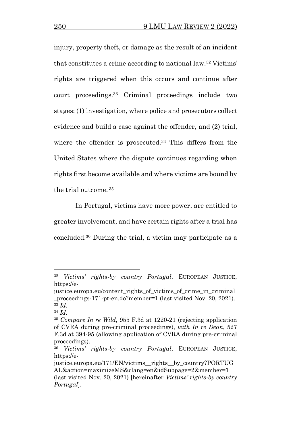injury, property theft, or damage as the result of an incident that constitutes a crime according to national law.<sup>32</sup> Victims' rights are triggered when this occurs and continue after court proceedings.<sup>33</sup> Criminal proceedings include two stages: (1) investigation, where police and prosecutors collect evidence and build a case against the offender, and (2) trial, where the offender is prosecuted.<sup>34</sup> This differs from the United States where the dispute continues regarding when rights first become available and where victims are bound by the trial outcome. <sup>35</sup>

In Portugal, victims have more power, are entitled to greater involvement, and have certain rights after a trial has concluded.<sup>36</sup> During the trial, a victim may participate as a

<sup>32</sup> *Victims' rights-by country Portugal*, EUROPEAN JUSTICE, https://e-

justice.europa.eu/content\_rights\_of\_victims\_of\_crime\_in\_criminal \_proceedings-171-pt-en.do?member=1 (last visited Nov. 20, 2021). <sup>33</sup> *Id.* 

<sup>34</sup> *Id.* 

<sup>35</sup> *Compare In re Wild*, 955 F.3d at 1220-21 (rejecting application of CVRA during pre-criminal proceedings), *with In re Dean*, 527 F.3d at 394-95 (allowing application of CVRA during pre-criminal proceedings).

<sup>36</sup> *Victims' rights-by country Portugal*, EUROPEAN JUSTICE, https://e-

justice.europa.eu/171/EN/victims\_\_rights\_\_by\_country?PORTUG AL&action=maximizeMS&clang=en&idSubpage=2&member=1 (last visited Nov. 20, 2021) [hereinafter *Victims' rights-by country Portugal*].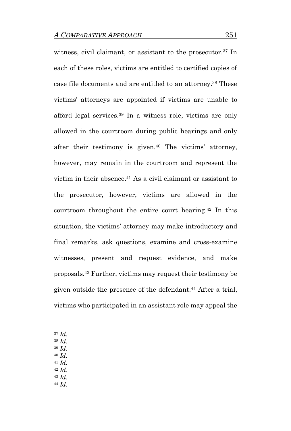witness, civil claimant, or assistant to the prosecutor.<sup>37</sup> In each of these roles, victims are entitled to certified copies of case file documents and are entitled to an attorney.<sup>38</sup> These victims' attorneys are appointed if victims are unable to afford legal services.<sup>39</sup> In a witness role, victims are only allowed in the courtroom during public hearings and only after their testimony is given.<sup>40</sup> The victims' attorney, however, may remain in the courtroom and represent the victim in their absence. <sup>41</sup> As a civil claimant or assistant to the prosecutor, however, victims are allowed in the courtroom throughout the entire court hearing.<sup>42</sup> In this situation, the victims' attorney may make introductory and final remarks, ask questions, examine and cross-examine witnesses, present and request evidence, and make proposals.<sup>43</sup> Further, victims may request their testimony be given outside the presence of the defendant.<sup>44</sup> After a trial, victims who participated in an assistant role may appeal the

- <sup>37</sup> *Id.*
- <sup>38</sup> *Id.*
- <sup>39</sup> *Id.*
- <sup>40</sup> *Id.*
- <sup>41</sup> *Id.*
- <sup>42</sup> *Id.*
- <sup>43</sup> *Id.* <sup>44</sup> *Id.*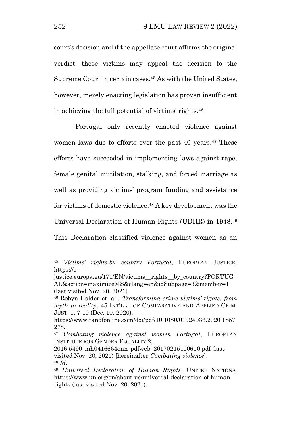court's decision and if the appellate court affirms the original verdict, these victims may appeal the decision to the Supreme Court in certain cases.<sup>45</sup> As with the United States, however, merely enacting legislation has proven insufficient in achieving the full potential of victims' rights. 46

Portugal only recently enacted violence against women laws due to efforts over the past 40 years. <sup>47</sup> These efforts have succeeded in implementing laws against rape, female genital mutilation, stalking, and forced marriage as well as providing victims' program funding and assistance for victims of domestic violence.<sup>48</sup> A key development was the Universal Declaration of Human Rights (UDHR) in 1948.<sup>49</sup> This Declaration classified violence against women as an

<sup>45</sup> *Victims' rights-by country Portugal*, EUROPEAN JUSTICE, https://e-

justice.europa.eu/171/EN/victims\_\_rights\_\_by\_country?PORTUG AL&action=maximizeMS&clang=en&idSubpage=3&member=1 (last visited Nov. 20, 2021).

<sup>46</sup> Robyn Holder et. al., *Transforming crime victims' rights: from myth to reality*, 45 INT'L J. OF COMPARATIVE AND APPLIED CRIM. JUST. 1, 7-10 (Dec. 10, 2020),

https://www.tandfonline.com/doi/pdf/10.1080/01924036.2020.1857 278.

<sup>47</sup> *Combating violence against women Portugal*, EUROPEAN INSTITUTE FOR GENDER EQUALITY 2,

<sup>2016.5490</sup>\_mh0416664enn\_pdfweb\_20170215100610.pdf (last visited Nov. 20, 2021) [hereinafter *Combating violence*]. <sup>48</sup> *Id.* 

<sup>49</sup> *Universal Declaration of Human Rights*, UNITED NATIONS, https://www.un.org/en/about-us/universal-declaration-of-humanrights (last visited Nov. 20, 2021).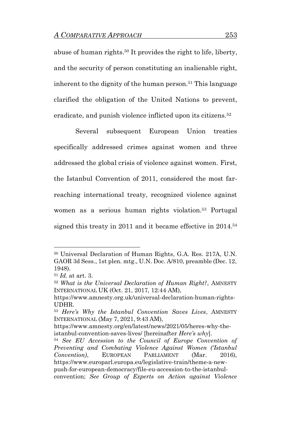abuse of human rights. <sup>50</sup> It provides the right to life, liberty, and the security of person constituting an inalienable right, inherent to the dignity of the human person.<sup>51</sup> This language clarified the obligation of the United Nations to prevent, eradicate, and punish violence inflicted upon its citizens.<sup>52</sup>

Several subsequent European Union treaties specifically addressed crimes against women and three addressed the global crisis of violence against women. First, the Istanbul Convention of 2011, considered the most farreaching international treaty, recognized violence against women as a serious human rights violation.<sup>53</sup> Portugal signed this treaty in 2011 and it became effective in 2014.<sup>54</sup>

<sup>50</sup> Universal Declaration of Human Rights, G.A. Res. 217A, U.N. GAOR 3d Sess., 1st plen. mtg., U.N. Doc. A/810, preamble (Dec. 12, 1948).

<sup>51</sup> *Id.* at art. 3.

<sup>52</sup> *What is the Universal Declaration of Human Right?*, AMNESTY INTERNATIONAL UK (Oct. 21, 2017, 12:44 AM),

https://www.amnesty.org.uk/universal-declaration-human-rights-UDHR.

<sup>53</sup> *Here's Why the Istanbul Convention Saves Lives*, AMNESTY INTERNATIONAL (May 7, 2021, 9:43 AM),

https://www.amnesty.org/en/latest/news/2021/05/heres-why-theistanbul-convention-saves-lives/ [hereinafter *Here's why*].

<sup>54</sup> *See EU Accession to the Council of Europe Convention of Preventing and Combating Violence Against Women ('Istanbul Convention)*, EUROPEAN PARLIAMENT (Mar. 2016), https://www.europarl.europa.eu/legislative-train/theme-a-newpush-for-european-democracy/file-eu-accession-to-the-istanbulconvention; *See Group of Experts on Action against Violence*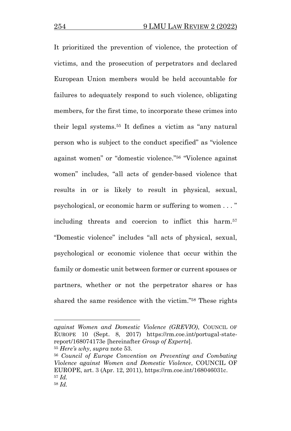It prioritized the prevention of violence, the protection of victims, and the prosecution of perpetrators and declared European Union members would be held accountable for failures to adequately respond to such violence, obligating members, for the first time, to incorporate these crimes into their legal systems.<sup>55</sup> It defines a victim as "any natural person who is subject to the conduct specified" as "violence against women" or "domestic violence." <sup>56</sup> "Violence against women" includes, "all acts of gender-based violence that results in or is likely to result in physical, sexual, psychological, or economic harm or suffering to women . . . " including threats and coercion to inflict this harm.<sup>57</sup> "Domestic violence" includes "all acts of physical, sexual, psychological or economic violence that occur within the family or domestic unit between former or current spouses or partners, whether or not the perpetrator shares or has shared the same residence with the victim." <sup>58</sup> These rights

*against Women and Domestic Violence (GREVIO)*, COUNCIL OF EUROPE 10 (Sept. 8, 2017) https://rm.coe.int/portugal-statereport/168074173e [hereinafter *Group of Experts*]. <sup>55</sup> *Here's why*, *supra* note 53.

<sup>56</sup> *Council of Europe Convention on Preventing and Combating Violence against Women and Domestic Violence*, COUNCIL OF EUROPE, art. 3 (Apr. 12, 2011), https://rm.coe.int/168046031c. <sup>57</sup> *Id.* <sup>58</sup> *Id.*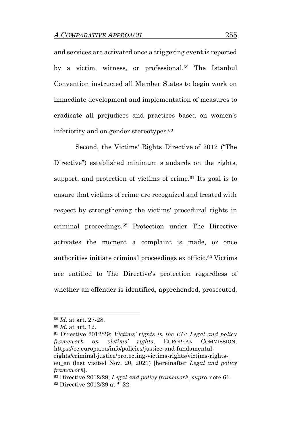and services are activated once a triggering event is reported by a victim, witness, or professional.<sup>59</sup> The Istanbul Convention instructed all Member States to begin work on immediate development and implementation of measures to eradicate all prejudices and practices based on women's inferiority and on gender stereotypes.<sup>60</sup>

Second, the Victims' Rights Directive of 2012 ("The Directive") established minimum standards on the rights, support, and protection of victims of crime.<sup>61</sup> Its goal is to ensure that victims of crime are recognized and treated with respect by strengthening the victims' procedural rights in criminal proceedings.<sup>62</sup> Protection under The Directive activates the moment a complaint is made, or once authorities initiate criminal proceedings ex officio. <sup>63</sup> Victims are entitled to The Directive's protection regardless of whether an offender is identified, apprehended, prosecuted,

<sup>61</sup> Directive 2012/29; *Victims' rights in the EU: Legal and policy framework on victims' rights*, EUROPEAN COMMISSION, https://ec.europa.eu/info/policies/justice-and-fundamentalrights/criminal-justice/protecting-victims-rights/victims-rights-

eu\_en (last visited Nov. 20, 2021) [hereinafter *Legal and policy framework*].

<sup>59</sup> *Id.* at art. 27-28.

<sup>60</sup> *Id.* at art. 12.

<sup>62</sup> Directive 2012/29; *Legal and policy framework, supra* note 61. <sup>63</sup> Directive 2012/29 at ¶ 22.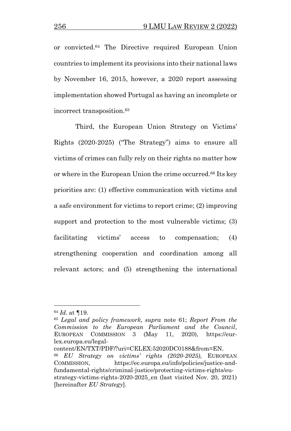or convicted.<sup>64</sup> The Directive required European Union countries to implement its provisions into their national laws by November 16, 2015, however, a 2020 report assessing implementation showed Portugal as having an incomplete or incorrect transposition.<sup>65</sup>

Third, the European Union Strategy on Victims' Rights (2020-2025) ("The Strategy") aims to ensure all victims of crimes can fully rely on their rights no matter how or where in the European Union the crime occurred.<sup>66</sup> Its key priorities are: (1) effective communication with victims and a safe environment for victims to report crime; (2) improving support and protection to the most vulnerable victims; (3) facilitating victims' access to compensation; (4) strengthening cooperation and coordination among all relevant actors; and (5) strengthening the international

<sup>65</sup> *Legal and policy framework, supra* note 61; *Report From the Commission to the European Parliament and the Council*, EUROPEAN COMMISSION 3 (May 11, 2020), https://eurlex.europa.eu/legal-

content/EN/TXT/PDF/?uri=CELEX:52020DC0188&from=EN.

<sup>64</sup> *Id.* at ¶19.

<sup>66</sup> *EU Strategy on victims' rights (2020-2025)*, EUROPEAN COMMISSION, https://ec.europa.eu/info/policies/justice-andfundamental-rights/criminal-justice/protecting-victims-rights/eustrategy-victims-rights-2020-2025\_en (last visited Nov. 20, 2021) [hereinafter *EU Strategy*].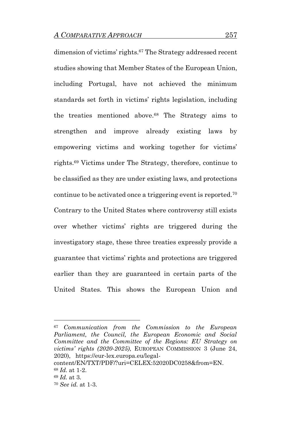dimension of victims' rights.<sup>67</sup> The Strategy addressed recent studies showing that Member States of the European Union, including Portugal, have not achieved the minimum standards set forth in victims' rights legislation, including the treaties mentioned above.<sup>68</sup> The Strategy aims to strengthen and improve already existing laws by empowering victims and working together for victims' rights.<sup>69</sup> Victims under The Strategy, therefore, continue to be classified as they are under existing laws, and protections continue to be activated once a triggering event is reported.<sup>70</sup> Contrary to the United States where controversy still exists over whether victims' rights are triggered during the investigatory stage, these three treaties expressly provide a guarantee that victims' rights and protections are triggered earlier than they are guaranteed in certain parts of the United States. This shows the European Union and

<sup>67</sup> *Communication from the Commission to the European Parliament, the Council, the European Economic and Social Committee and the Committee of the Regions: EU Strategy on victims' rights (2020-2025)*, EUROPEAN COMMISSION 3 (June 24, 2020), https://eur-lex.europa.eu/legal-

content/EN/TXT/PDF/?uri=CELEX:52020DC0258&from=EN. <sup>68</sup> *Id.* at 1-2.

<sup>69</sup> *Id.* at 3.

<sup>70</sup> *See id.* at 1-3.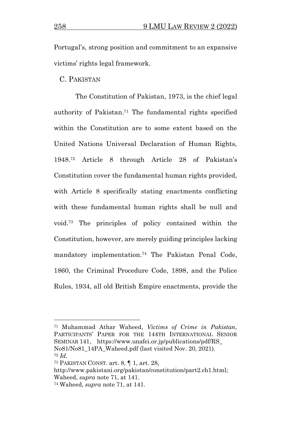Portugal's, strong position and commitment to an expansive victims' rights legal framework.

#### C. PAKISTAN

The Constitution of Pakistan, 1973, is the chief legal authority of Pakistan. <sup>71</sup> The fundamental rights specified within the Constitution are to some extent based on the United Nations Universal Declaration of Human Rights, 1948.<sup>72</sup> Article 8 through Article 28 of Pakistan's Constitution cover the fundamental human rights provided, with Article 8 specifically stating enactments conflicting with these fundamental human rights shall be null and void.<sup>73</sup> The principles of policy contained within the Constitution, however, are merely guiding principles lacking mandatory implementation.<sup>74</sup> The Pakistan Penal Code, 1860, the Criminal Procedure Code, 1898, and the Police Rules, 1934, all old British Empire enactments, provide the

<sup>71</sup> Muhammad Athar Waheed, *Victims of Crime in Pakistan*, PARTICIPANTS' PAPER FOR THE 144TH INTERNATIONAL SENIOR SEMINAR 141, https://www.unafei.or.jp/publications/pdf/RS\_ No81/No81\_14PA\_Waheed.pdf (last visited Nov. 20, 2021). <sup>72</sup> *Id.*

<sup>73</sup> PAKISTAN CONST. art. 8, ¶ 1, art. 28,

http://www.pakistani.org/pakistan/constitution/part2.ch1.html; Waheed, *supra* note 71, at 141.

<sup>74</sup> Waheed, *supra* note 71, at 141.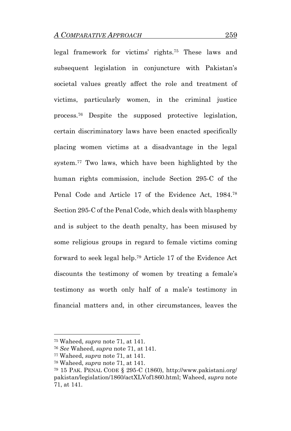legal framework for victims' rights.<sup>75</sup> These laws and subsequent legislation in conjuncture with Pakistan's societal values greatly affect the role and treatment of victims, particularly women, in the criminal justice process.<sup>76</sup> Despite the supposed protective legislation, certain discriminatory laws have been enacted specifically placing women victims at a disadvantage in the legal system.<sup>77</sup> Two laws, which have been highlighted by the human rights commission, include Section 295-C of the Penal Code and Article 17 of the Evidence Act, 1984.<sup>78</sup> Section 295-C of the Penal Code, which deals with blasphemy and is subject to the death penalty, has been misused by some religious groups in regard to female victims coming forward to seek legal help. <sup>79</sup> Article 17 of the Evidence Act discounts the testimony of women by treating a female's testimony as worth only half of a male's testimony in financial matters and, in other circumstances, leaves the

<sup>75</sup> Waheed, *supra* note 71, at 141.

<sup>76</sup> *See* Waheed, *supra* note 71, at 141.

<sup>77</sup> Waheed, *supra* note 71, at 141.

<sup>78</sup> Waheed, *supra* note 71, at 141.

<sup>79</sup> 15 PAK. PENAL CODE § 295-C (1860), http://www.pakistani.org/ pakistan/legislation/1860/actXLVof1860.html; Waheed, *supra* note 71, at 141.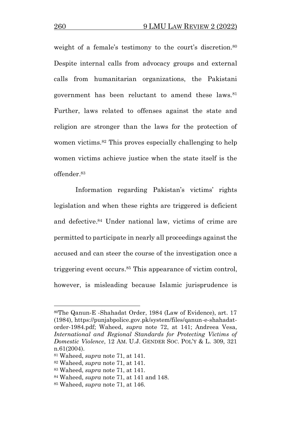weight of a female's testimony to the court's discretion.<sup>80</sup> Despite internal calls from advocacy groups and external calls from humanitarian organizations, the Pakistani government has been reluctant to amend these laws.<sup>81</sup> Further, laws related to offenses against the state and religion are stronger than the laws for the protection of women victims.<sup>82</sup> This proves especially challenging to help women victims achieve justice when the state itself is the offender.<sup>83</sup>

Information regarding Pakistan's victims' rights legislation and when these rights are triggered is deficient and defective. <sup>84</sup> Under national law, victims of crime are permitted to participate in nearly all proceedings against the accused and can steer the course of the investigation once a triggering event occurs. <sup>85</sup> This appearance of victim control, however, is misleading because Islamic jurisprudence is

<sup>80</sup>The Qanun-E -Shahadat Order, 1984 (Law of Evidence), art. 17 (1984), https://punjabpolice.gov.pk/system/files/qanun-e-shahadatorder-1984.pdf; Waheed, *supra* note 72, at 141; Andreea Vesa, *International and Regional Standards for Protecting Victims of Domestic Violence*, 12 AM. U.J. GENDER SOC. POL'Y & L. 309, 321 n.61(2004).

<sup>81</sup> Waheed, *supra* note 71, at 141.

<sup>82</sup> Waheed, *supra* note 71, at 141.

<sup>83</sup> Waheed, *supra* note 71, at 141.

<sup>84</sup> Waheed, *supra* note 71, at 141 and 148.

<sup>85</sup> Waheed, *supra* note 71, at 146.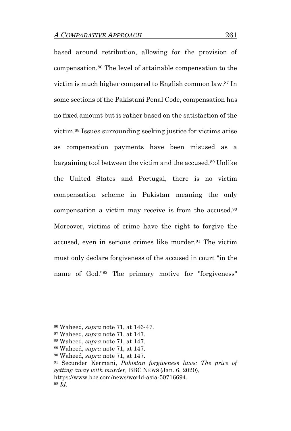based around retribution, allowing for the provision of compensation. <sup>86</sup> The level of attainable compensation to the victim is much higher compared to English common law.<sup>87</sup> In some sections of the Pakistani Penal Code, compensation has no fixed amount but is rather based on the satisfaction of the victim.<sup>88</sup> Issues surrounding seeking justice for victims arise as compensation payments have been misused as a bargaining tool between the victim and the accused.<sup>89</sup> Unlike the United States and Portugal, there is no victim compensation scheme in Pakistan meaning the only compensation a victim may receive is from the accused.<sup>90</sup> Moreover, victims of crime have the right to forgive the accused, even in serious crimes like murder.<sup>91</sup> The victim must only declare forgiveness of the accused in court "in the name of God."<sup>92</sup> The primary motive for "forgiveness"

<sup>86</sup> Waheed, *supra* note 71, at 146-47.

<sup>87</sup> Waheed, *supra* note 71, at 147.

<sup>88</sup> Waheed, *supra* note 71, at 147.

<sup>89</sup> Waheed, *supra* note 71, at 147.

<sup>90</sup> Waheed, *supra* note 71, at 147.

<sup>91</sup> Secunder Kermani, *Pakistan forgiveness laws: The price of getting away with murder,* BBC NEWS (Jan. 6, 2020), https://www.bbc.com/news/world-asia-50716694. <sup>92</sup> *Id.*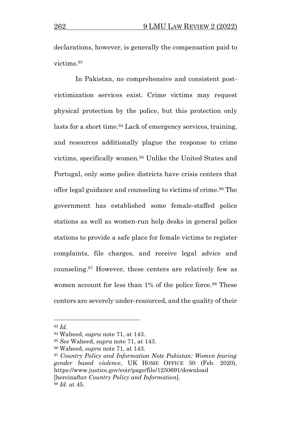declarations, however, is generally the compensation paid to victims.<sup>93</sup>

In Pakistan, no comprehensive and consistent postvictimization services exist. Crime victims may request physical protection by the police, but this protection only lasts for a short time.<sup>94</sup> Lack of emergency services, training, and resources additionally plague the response to crime victims, specifically women. <sup>95</sup> Unlike the United States and Portugal, only some police districts have crisis centers that offer legal guidance and counseling to victims of crime.<sup>96</sup> The government has established some female-staffed police stations as well as women-run help desks in general police stations to provide a safe place for female victims to register complaints, file charges, and receive legal advice and counseling. <sup>97</sup> However, these centers are relatively few as women account for less than 1% of the police force. <sup>98</sup> These centers are severely under-resourced, and the quality of their

<sup>93</sup> *Id.*

<sup>94</sup> Waheed, *supra* note 71, at 143.

<sup>95</sup> *See* Waheed, *supra* note 71, at 143.

<sup>96</sup> Waheed, *supra* note 71, at 143.

<sup>97</sup> *Country Policy and Information Note Pakistan: Women fearing gender based violence*, UK HOME OFFICE 50 (Feb. 2020), https://www.justice.gov/eoir/page/file/1250691/download [hereinafter *Country Policy and Information*]. <sup>98</sup> *Id.* at 45.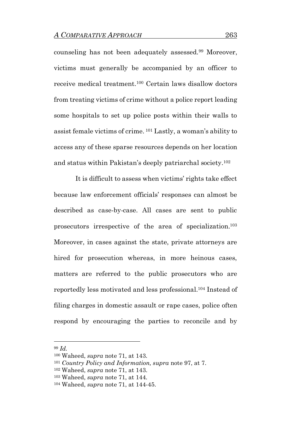counseling has not been adequately assessed.<sup>99</sup> Moreover, victims must generally be accompanied by an officer to receive medical treatment.<sup>100</sup> Certain laws disallow doctors from treating victims of crime without a police report leading some hospitals to set up police posts within their walls to assist female victims of crime. <sup>101</sup> Lastly, a woman's ability to access any of these sparse resources depends on her location and status within Pakistan's deeply patriarchal society.<sup>102</sup>

It is difficult to assess when victims' rights take effect because law enforcement officials' responses can almost be described as case-by-case. All cases are sent to public prosecutors irrespective of the area of specialization.<sup>103</sup> Moreover, in cases against the state, private attorneys are hired for prosecution whereas, in more heinous cases, matters are referred to the public prosecutors who are reportedly less motivated and less professional.<sup>104</sup> Instead of filing charges in domestic assault or rape cases, police often respond by encouraging the parties to reconcile and by

<sup>99</sup> *Id.*

<sup>100</sup> Waheed, *supra* note 71, at 143.

<sup>101</sup> *Country Policy and Information, supra* note 97, at 7.

<sup>102</sup> Waheed, *supra* note 71, at 143.

<sup>103</sup> Waheed, *supra* note 71, at 144.

<sup>104</sup> Waheed, *supra* note 71, at 144-45.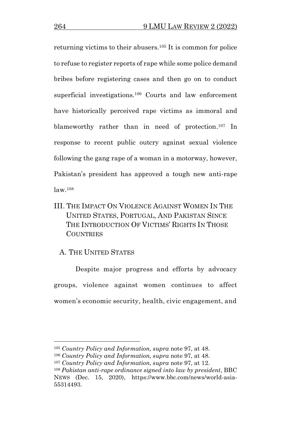returning victims to their abusers.<sup>105</sup> It is common for police to refuse to register reports of rape while some police demand bribes before registering cases and then go on to conduct superficial investigations.<sup>106</sup> Courts and law enforcement have historically perceived rape victims as immoral and blameworthy rather than in need of protection. <sup>107</sup> In response to recent public outcry against sexual violence following the gang rape of a woman in a motorway, however, Pakistan's president has approved a tough new anti-rape law.<sup>108</sup>

III. THE IMPACT ON VIOLENCE AGAINST WOMEN IN THE UNITED STATES, PORTUGAL, AND PAKISTAN SINCE THE INTRODUCTION OF VICTIMS' RIGHTS IN THOSE **COUNTRIES** 

## A. THE UNITED STATES

Despite major progress and efforts by advocacy groups, violence against women continues to affect women's economic security, health, civic engagement, and

<sup>105</sup> *Country Policy and Information, supra* note 97, at 48.

<sup>106</sup> *Country Policy and Information, supra* note 97, at 48.

<sup>107</sup> *Country Policy and Information, supra* note 97, at 12.

<sup>108</sup> *Pakistan anti-rape ordinance signed into law by president*, BBC NEWS (Dec. 15, 2020), https://www.bbc.com/news/world-asia-55314493.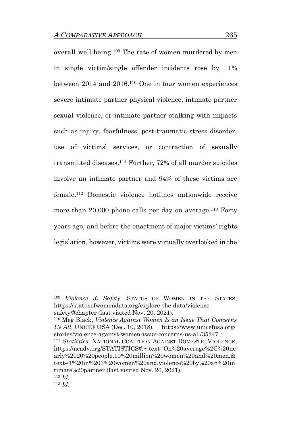overall well-being.<sup>109</sup> The rate of women murdered by men in single victim/single offender incidents rose by 11% between 2014 and 2016.<sup>110</sup> One in four women experiences severe intimate partner physical violence, intimate partner sexual violence, or intimate partner stalking with impacts such as injury, fearfulness, post-traumatic stress disorder, use of victims' services, or contraction of sexually transmitted diseases.<sup>111</sup> Further, 72% of all murder suicides involve an intimate partner and 94% of these victims are female.<sup>112</sup> Domestic violence hotlines nationwide receive more than 20,000 phone calls per day on average.<sup>113</sup> Forty years ago, and before the enactment of major victims' rights legislation, however, victims were virtually overlooked in the

<sup>110</sup> Meg Black, *Violence Against Women Is an Issue That Concerns Us All*, UNICEF USA (Dec. 10, 2018), https://www.unicefusa.org/ stories/violence-against-women-issue-concerns-us-all/35247. <sup>111</sup> *Statistics,* NATIONAL COALITION AGAINST DOMESTIC VIOLENCE, https://ncadv.org/STATISTICS#:~:text=On%20average%2C%20ne arly%2020%20people,10%20million%20women%20and%20men.& text=1%20in%203%20women%20and,violence%20by%20an%20in timate%20partner (last visited Nov. 20, 2021). <sup>112</sup> *Id.* 

<sup>109</sup> *Violence & Safety,* STATUS OF WOMEN IN THE STATES, https://statusofwomendata.org/explore-the-data/violencesafety/#chapter (last visited Nov. 20, 2021).

<sup>113</sup> *Id.*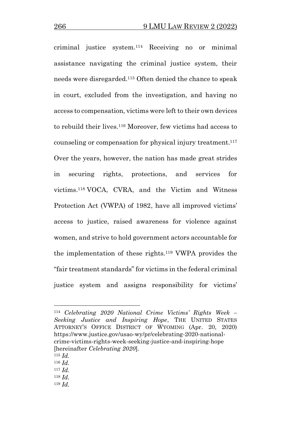criminal justice system.<sup>114</sup> Receiving no or minimal assistance navigating the criminal justice system, their needs were disregarded.<sup>115</sup> Often denied the chance to speak in court, excluded from the investigation, and having no access to compensation, victims were left to their own devices to rebuild their lives.<sup>116</sup> Moreover, few victims had access to counseling or compensation for physical injury treatment. 117 Over the years, however, the nation has made great strides in securing rights, protections, and services for victims. <sup>118</sup> VOCA, CVRA, and the Victim and Witness Protection Act (VWPA) of 1982, have all improved victims' access to justice, raised awareness for violence against women, and strive to hold government actors accountable for the implementation of these rights.<sup>119</sup> VWPA provides the "fair treatment standards" for victims in the federal criminal justice system and assigns responsibility for victims'

- <sup>116</sup> *Id.*
- $117$  *Id.* <sup>118</sup> *Id.*
- <sup>119</sup> *Id.*

<sup>114</sup> *Celebrating 2020 National Crime Victims' Rights Week – Seeking Justice and Inspiring Hope*, THE UNITED STATES ATTORNEY'S OFFICE DISTRICT OF WYOMING (Apr. 20, 2020) https://www.justice.gov/usao-wy/pr/celebrating-2020-nationalcrime-victims-rights-week-seeking-justice-and-inspiring-hope [hereinafter *Celebrating 2020*].

 $115$  *Id.*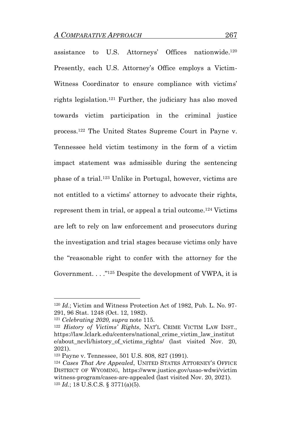assistance to U.S. Attorneys' Offices nationwide.<sup>120</sup> Presently, each U.S. Attorney's Office employs a Victim-Witness Coordinator to ensure compliance with victims' rights legislation.<sup>121</sup> Further, the judiciary has also moved towards victim participation in the criminal justice process.<sup>122</sup> The United States Supreme Court in Payne v. Tennessee held victim testimony in the form of a victim impact statement was admissible during the sentencing phase of a trial.<sup>123</sup> Unlike in Portugal, however, victims are not entitled to a victims' attorney to advocate their rights, represent them in trial, or appeal a trial outcome. <sup>124</sup> Victims are left to rely on law enforcement and prosecutors during the investigation and trial stages because victims only have the "reasonable right to confer with the attorney for the Government. . . ." <sup>125</sup> Despite the development of VWPA, it is

<sup>120</sup> *Id*.; Victim and Witness Protection Act of 1982, Pub. L. No. 97- 291, 96 Stat. 1248 (Oct. 12, 1982).

<sup>121</sup> *Celebrating 2020, supra* note 115.

<sup>122</sup> *History of Victims' Rights*, NAT'L CRIME VICTIM LAW INST., https://law.lclark.edu/centers/national\_crime\_victim\_law\_institut e/about\_ncvli/history\_of\_victims\_rights/ (last visited Nov. 20, 2021).

<sup>123</sup> Payne v. Tennessee, 501 U.S. 808, 827 (1991).

<sup>124</sup> *Cases That Are Appealed*, UNITED STATES ATTORNEY'S OFFICE DISTRICT OF WYOMING, https://www.justice.gov/usao-wdwi/victim witness-program/cases-are-appealed (last visited Nov. 20, 2021). <sup>125</sup> *Id.*; 18 U.S.C.S. § 3771(a)(5).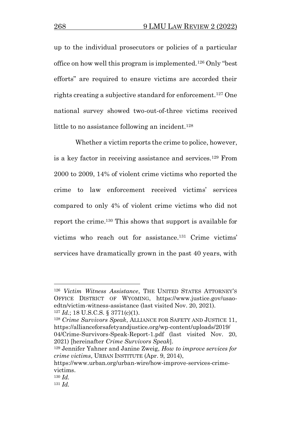up to the individual prosecutors or policies of a particular office on how well this program is implemented.<sup>126</sup> Only "best efforts" are required to ensure victims are accorded their rights creating a subjective standard for enforcement.<sup>127</sup> One national survey showed two-out-of-three victims received little to no assistance following an incident.<sup>128</sup>

Whether a victim reports the crime to police, however, is a key factor in receiving assistance and services.<sup>129</sup> From 2000 to 2009, 14% of violent crime victims who reported the crime to law enforcement received victims' services compared to only 4% of violent crime victims who did not report the crime. <sup>130</sup> This shows that support is available for victims who reach out for assistance. <sup>131</sup> Crime victims' services have dramatically grown in the past 40 years, with

2021) [hereinafter *Crime Survivors Speak*].

<sup>126</sup> *Victim Witness Assistance*, THE UNITED STATES ATTORNEY'S OFFICE DISTRICT OF WYOMING, https://www.justice.gov/usaoedtn/victim-witness-assistance (last visited Nov. 20, 2021).  $127$  *Id.*; 18 U.S.C.S. § 3771(c)(1).

<sup>128</sup> *Crime Survivors Speak*, ALLIANCE FOR SAFETY AND JUSTICE 11, https://allianceforsafetyandjustice.org/wp-content/uploads/2019/ 04/Crime-Survivors-Speak-Report-1.pdf (last visited Nov. 20,

<sup>129</sup> Jennifer Yahner and Janine Zweig, *How to improve services for crime victims*, URBAN INSTITUTE (Apr. 9, 2014),

https://www.urban.org/urban-wire/how-improve-services-crimevictims.

<sup>130</sup> *Id.*

<sup>131</sup> *Id.*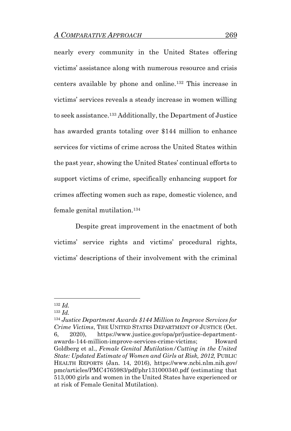nearly every community in the United States offering victims' assistance along with numerous resource and crisis centers available by phone and online.<sup>132</sup> This increase in victims' services reveals a steady increase in women willing to seek assistance.<sup>133</sup> Additionally, the Department of Justice has awarded grants totaling over \$144 million to enhance services for victims of crime across the United States within the past year, showing the United States' continual efforts to support victims of crime, specifically enhancing support for crimes affecting women such as rape, domestic violence, and female genital mutilation.<sup>134</sup>

Despite great improvement in the enactment of both victims' service rights and victims' procedural rights, victims' descriptions of their involvement with the criminal

<sup>132</sup> *Id.*

<sup>133</sup> *Id.* 

<sup>134</sup> *Justice Department Awards \$144 Million to Improve Services for Crime Victims*, THE UNITED STATES DEPARTMENT OF JUSTICE (Oct. 6, 2020), https://www.justice.gov/opa/pr/justice-departmentawards-144-million-improve-services-crime-victims; Howard Goldberg et al., *Female Genital Mutilation/Cutting in the United State: Updated Estimate of Women and Girls at Risk, 2012,* PUBLIC HEALTH REPORTS (Jan. 14, 2016), https://www.ncbi.nlm.nih.gov/ pmc/articles/PMC4765983/pdf/phr131000340.pdf (estimating that 513,000 girls and women in the United States have experienced or at risk of Female Genital Mutilation).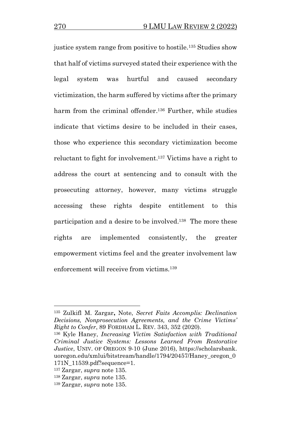justice system range from positive to hostile.<sup>135</sup> Studies show that half of victims surveyed stated their experience with the legal system was hurtful and caused secondary victimization, the harm suffered by victims after the primary harm from the criminal offender. <sup>136</sup> Further, while studies indicate that victims desire to be included in their cases, those who experience this secondary victimization become reluctant to fight for involvement. <sup>137</sup> Victims have a right to address the court at sentencing and to consult with the prosecuting attorney, however, many victims struggle accessing these rights despite entitlement to this participation and a desire to be involved. <sup>138</sup> The more these rights are implemented consistently, the greater empowerment victims feel and the greater involvement law enforcement will receive from victims.<sup>139</sup>

<sup>135</sup> Zulkifl M. Zargar**,** Note, *Secret Faits Accomplis: Declination Decisions, Nonprosecution Agreements, and the Crime Victims' Right to Confer*, 89 FORDHAM L. REV. 343, 352 (2020).

<sup>136</sup> Kyle Haney, *Increasing Victim Satisfaction with Traditional Criminal Justice Systems: Lessons Learned From Restorative Justice*, UNIV. OF OREGON 9-10 (June 2016), https://scholarsbank. uoregon.edu/xmlui/bitstream/handle/1794/20457/Haney\_oregon\_0 171N\_11539.pdf?sequence=1.

<sup>137</sup> Zargar, *supra* note 135.

<sup>138</sup> Zargar, *supra* note 135.

<sup>139</sup> Zargar, *supra* note 135.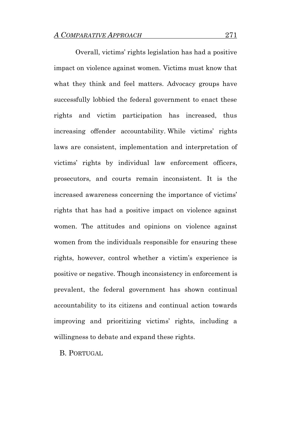Overall, victims' rights legislation has had a positive impact on violence against women. Victims must know that what they think and feel matters. Advocacy groups have successfully lobbied the federal government to enact these rights and victim participation has increased, thus increasing offender accountability. While victims' rights laws are consistent, implementation and interpretation of victims' rights by individual law enforcement officers, prosecutors, and courts remain inconsistent. It is the increased awareness concerning the importance of victims' rights that has had a positive impact on violence against women. The attitudes and opinions on violence against women from the individuals responsible for ensuring these rights, however, control whether a victim's experience is positive or negative. Though inconsistency in enforcement is prevalent, the federal government has shown continual accountability to its citizens and continual action towards improving and prioritizing victims' rights, including a willingness to debate and expand these rights.

B. PORTUGAL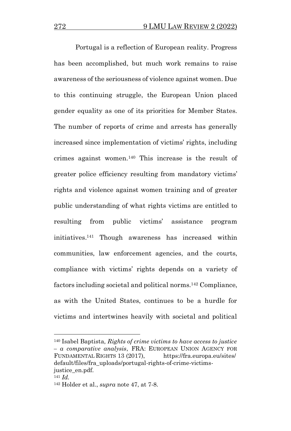Portugal is a reflection of European reality. Progress has been accomplished, but much work remains to raise awareness of the seriousness of violence against women. Due to this continuing struggle, the European Union placed gender equality as one of its priorities for Member States. The number of reports of crime and arrests has generally increased since implementation of victims' rights, including crimes against women.<sup>140</sup> This increase is the result of greater police efficiency resulting from mandatory victims' rights and violence against women training and of greater public understanding of what rights victims are entitled to resulting from public victims' assistance program initiatives. <sup>141</sup> Though awareness has increased within communities, law enforcement agencies, and the courts, compliance with victims' rights depends on a variety of factors including societal and political norms. <sup>142</sup> Compliance, as with the United States, continues to be a hurdle for victims and intertwines heavily with societal and political

<sup>140</sup> Isabel Baptista, *Rights of crime victims to have access to justice – a comparative analysis*, FRA: EUROPEAN UNION AGENCY FOR FUNDAMENTAL RIGHTS 13 (2017), https://fra.europa.eu/sites/ default/files/fra\_uploads/portugal-rights-of-crime-victimsjustice\_en.pdf.

<sup>141</sup> *Id.*

<sup>142</sup> Holder et al., *supra* note 47, at 7-8.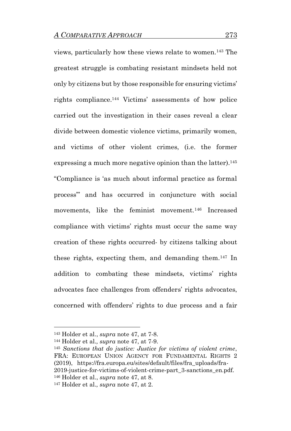views, particularly how these views relate to women.<sup>143</sup> The greatest struggle is combating resistant mindsets held not only by citizens but by those responsible for ensuring victims' rights compliance.<sup>144</sup> Victims' assessments of how police carried out the investigation in their cases reveal a clear divide between domestic violence victims, primarily women, and victims of other violent crimes, (i.e. the former expressing a much more negative opinion than the latter).<sup>145</sup> "Compliance is 'as much about informal practice as formal process'" and has occurred in conjuncture with social movements, like the feminist movement.<sup>146</sup> Increased compliance with victims' rights must occur the same way creation of these rights occurred- by citizens talking about these rights, expecting them, and demanding them.<sup>147</sup> In addition to combating these mindsets, victims' rights advocates face challenges from offenders' rights advocates, concerned with offenders' rights to due process and a fair

<sup>143</sup> Holder et al., *supra* note 47, at 7-8.

<sup>144</sup> Holder et al.*, supra* note 47, at 7-9.

<sup>145</sup> *Sanctions that do justice: Justice for victims of violent crime*, FRA: EUROPEAN UNION AGENCY FOR FUNDAMENTAL RIGHTS 2 (2019), https://fra.europa.eu/sites/default/files/fra\_uploads/fra-2019-justice-for-victims-of-violent-crime-part\_3-sanctions\_en.pdf. <sup>146</sup> Holder et al., *supra* note 47, at 8.

<sup>147</sup> Holder et al.*, supra* note 47, at 2.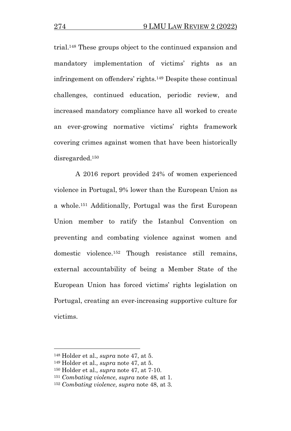trial.<sup>148</sup> These groups object to the continued expansion and mandatory implementation of victims' rights as an infringement on offenders' rights.<sup>149</sup> Despite these continual challenges, continued education, periodic review, and increased mandatory compliance have all worked to create an ever-growing normative victims' rights framework covering crimes against women that have been historically disregarded.<sup>150</sup>

A 2016 report provided 24% of women experienced violence in Portugal, 9% lower than the European Union as a whole.<sup>151</sup> Additionally, Portugal was the first European Union member to ratify the Istanbul Convention on preventing and combating violence against women and domestic violence.<sup>152</sup> Though resistance still remains, external accountability of being a Member State of the European Union has forced victims' rights legislation on Portugal, creating an ever-increasing supportive culture for victims.

<sup>148</sup> Holder et al.*, supra* note 47, at 5.

<sup>149</sup> Holder et al.*, supra* note 47, at 5.

<sup>150</sup> Holder et al.*, supra* note 47, at 7-10.

<sup>151</sup> *Combating violence, supra* note 48, at 1.

<sup>152</sup> *Combating violence, supra* note 48, at 3.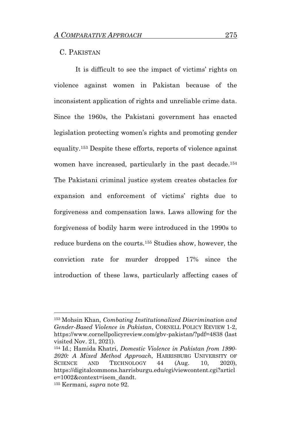#### C. PAKISTAN

It is difficult to see the impact of victims' rights on violence against women in Pakistan because of the inconsistent application of rights and unreliable crime data. Since the 1960s, the Pakistani government has enacted legislation protecting women's rights and promoting gender equality.<sup>153</sup> Despite these efforts, reports of violence against women have increased, particularly in the past decade.<sup>154</sup> The Pakistani criminal justice system creates obstacles for expansion and enforcement of victims' rights due to forgiveness and compensation laws. Laws allowing for the forgiveness of bodily harm were introduced in the 1990s to reduce burdens on the courts.<sup>155</sup> Studies show, however, the conviction rate for murder dropped 17% since the introduction of these laws, particularly affecting cases of

<sup>153</sup> Mohsin Khan, *Combating Institutionalized Discrimination and Gender-Based Violence in Pakistan*, CORNELL POLICY REVIEW 1-2, https://www.cornellpolicyreview.com/gbv-pakistan/?pdf=4838 (last visited Nov. 21, 2021).

<sup>154</sup> Id.; Hamida Khatri, *Domestic Violence in Pakistan from 1990- 2020: A Mixed Method Approach*, HARRISBURG UNIVERSITY OF SCIENCE AND TECHNOLOGY 44 (Aug. 10, 2020), https://digitalcommons.harrisburgu.edu/cgi/viewcontent.cgi?articl e=1002&context=isem\_dandt. <sup>155</sup> Kermani*, supra* note 92.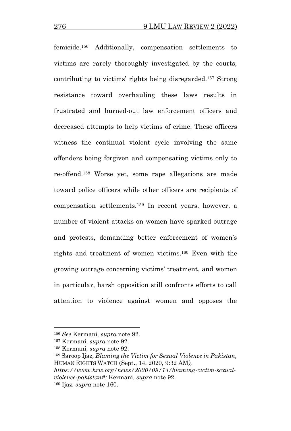femicide.<sup>156</sup> Additionally, compensation settlements to victims are rarely thoroughly investigated by the courts, contributing to victims' rights being disregarded.<sup>157</sup> Strong resistance toward overhauling these laws results in frustrated and burned-out law enforcement officers and decreased attempts to help victims of crime. These officers witness the continual violent cycle involving the same offenders being forgiven and compensating victims only to re-offend.<sup>158</sup> Worse yet, some rape allegations are made toward police officers while other officers are recipients of compensation settlements.<sup>159</sup> In recent years, however, a number of violent attacks on women have sparked outrage and protests, demanding better enforcement of women's rights and treatment of women victims. <sup>160</sup> Even with the growing outrage concerning victims' treatment, and women in particular, harsh opposition still confronts efforts to call attention to violence against women and opposes the

<sup>156</sup> *See* Kermani*, supra* note 92.

<sup>157</sup> Kermani*, supra* note 92.

<sup>158</sup> Kermani*, supra* note 92.

<sup>159</sup> Saroop Ijaz*, Blaming the Victim for Sexual Violence in Pakistan,*  HUMAN RIGHTS WATCH (Sept., 14, 2020, 9:32 AM*),*

*https://www.hrw.org/news/2020/09/14/blaming-victim-sexualviolence-pakistan#;* Kermani*, supra* note 92. <sup>160</sup> Ijaz*, supra* note 160.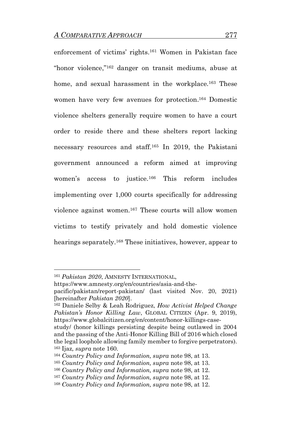enforcement of victims' rights. <sup>161</sup> Women in Pakistan face "honor violence,"<sup>162</sup> danger on transit mediums, abuse at home, and sexual harassment in the workplace.<sup>163</sup> These women have very few avenues for protection. <sup>164</sup> Domestic violence shelters generally require women to have a court order to reside there and these shelters report lacking necessary resources and staff.<sup>165</sup> In 2019, the Pakistani government announced a reform aimed at improving women's access to justice.<sup>166</sup> This reform includes implementing over 1,000 courts specifically for addressing violence against women.<sup>167</sup> These courts will allow women victims to testify privately and hold domestic violence hearings separately.<sup>168</sup> These initiatives, however, appear to

<sup>161</sup> *Pakistan 2020*, AMNESTY INTERNATIONAL,

https://www.amnesty.org/en/countries/asia-and-the-

pacific/pakistan/report-pakistan/ (last visited Nov. 20, 2021) [hereinafter *Pakistan 2020*].

<sup>162</sup> Daniele Selby & Leah Rodriguez, *How Activist Helped Change Pakistan's Honor Killing Law*, GLOBAL CITIZEN (Apr. 9, 2019), https://www.globalcitizen.org/en/content/honor-killings-case-

study/ (honor killings persisting despite being outlawed in 2004 and the passing of the Anti-Honor Killing Bill of 2016 which closed the legal loophole allowing family member to forgive perpetrators). <sup>163</sup> Ijaz*, supra* note 160.

<sup>164</sup> *Country Policy and Information, supra* note 98, at 13.

<sup>165</sup> *Country Policy and Information, supra* note 98, at 13.

<sup>166</sup> *Country Policy and Information, supra* note 98, at 12.

<sup>167</sup> *Country Policy and Information, supra* note 98, at 12.

<sup>168</sup> *Country Policy and Information, supra* note 98, at 12.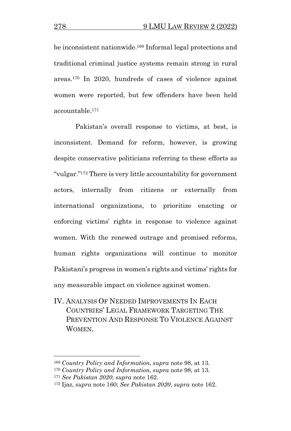be inconsistent nationwide.<sup>169</sup> Informal legal protections and traditional criminal justice systems remain strong in rural areas.<sup>170</sup> In 2020, hundreds of cases of violence against women were reported, but few offenders have been held accountable.<sup>171</sup>

Pakistan's overall response to victims, at best, is inconsistent. Demand for reform, however, is growing despite conservative politicians referring to these efforts as "vulgar." <sup>172</sup> There is very little accountability for government actors, internally from citizens or externally from international organizations, to prioritize enacting or enforcing victims' rights in response to violence against women. With the renewed outrage and promised reforms, human rights organizations will continue to monitor Pakistani's progress in women's rights and victims' rights for any measurable impact on violence against women.

IV. ANALYSIS OF NEEDED IMPROVEMENTS IN EACH COUNTRIES' LEGAL FRAMEWORK TARGETING THE PREVENTION AND RESPONSE TO VIOLENCE AGAINST **WOMEN** 

<sup>169</sup> *Country Policy and Information, supra* note 98, at 13.

<sup>170</sup> *Country Policy and Information, supra* note 98, at 13.

<sup>171</sup> *See Pakistan 2020*, *supra* note 162.

<sup>172</sup> Ijaz, *supra* note 160; *See Pakistan 2020*, *supra* note 162.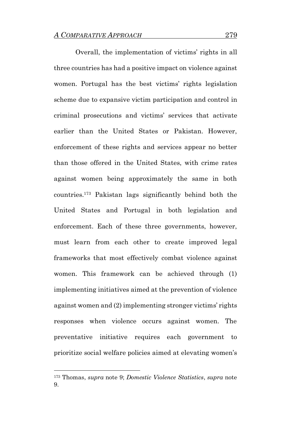Overall, the implementation of victims' rights in all three countries has had a positive impact on violence against women. Portugal has the best victims' rights legislation scheme due to expansive victim participation and control in criminal prosecutions and victims' services that activate earlier than the United States or Pakistan. However, enforcement of these rights and services appear no better than those offered in the United States, with crime rates against women being approximately the same in both countries.<sup>173</sup> Pakistan lags significantly behind both the United States and Portugal in both legislation and enforcement. Each of these three governments, however, must learn from each other to create improved legal frameworks that most effectively combat violence against women. This framework can be achieved through (1) implementing initiatives aimed at the prevention of violence against women and (2) implementing stronger victims' rights responses when violence occurs against women. The preventative initiative requires each government to prioritize social welfare policies aimed at elevating women's

<sup>173</sup> Thomas, *supra* note 9; *Domestic Violence Statistics*, *supra* note 9.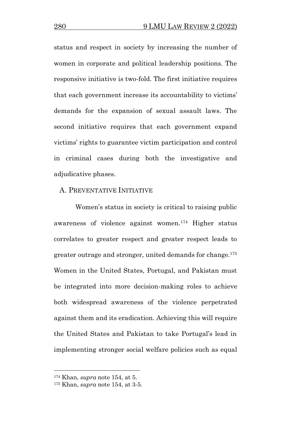status and respect in society by increasing the number of women in corporate and political leadership positions. The responsive initiative is two-fold. The first initiative requires that each government increase its accountability to victims' demands for the expansion of sexual assault laws. The second initiative requires that each government expand victims' rights to guarantee victim participation and control in criminal cases during both the investigative and adjudicative phases.

#### A. PREVENTATIVE INITIATIVE

Women's status in society is critical to raising public awareness of violence against women.<sup>174</sup> Higher status correlates to greater respect and greater respect leads to greater outrage and stronger, united demands for change.<sup>175</sup> Women in the United States, Portugal, and Pakistan must be integrated into more decision-making roles to achieve both widespread awareness of the violence perpetrated against them and its eradication. Achieving this will require the United States and Pakistan to take Portugal's lead in implementing stronger social welfare policies such as equal

<sup>174</sup> Khan, *supra* note 154, at 5.

<sup>175</sup> Khan, *supra* note 154, at 3-5.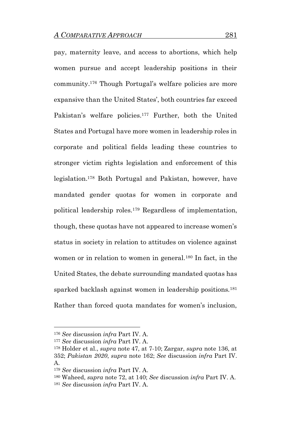pay, maternity leave, and access to abortions, which help women pursue and accept leadership positions in their community.<sup>176</sup> Though Portugal's welfare policies are more expansive than the United States', both countries far exceed Pakistan's welfare policies.<sup>177</sup> Further, both the United States and Portugal have more women in leadership roles in corporate and political fields leading these countries to stronger victim rights legislation and enforcement of this legislation.<sup>178</sup> Both Portugal and Pakistan, however, have mandated gender quotas for women in corporate and political leadership roles.<sup>179</sup> Regardless of implementation, though, these quotas have not appeared to increase women's status in society in relation to attitudes on violence against women or in relation to women in general.<sup>180</sup> In fact, in the United States, the debate surrounding mandated quotas has sparked backlash against women in leadership positions.<sup>181</sup> Rather than forced quota mandates for women's inclusion,

<sup>176</sup> *See* discussion *infra* Part IV. A.

<sup>177</sup> *See* discussion *infra* Part IV. A.

<sup>178</sup> Holder et al., *supra* note 47, at 7-10; Zargar, *supra* note 136, at 352; *Pakistan 2020*, *supra* note 162; *See* discussion *infra* Part IV. A.

<sup>179</sup> *See* discussion *infra* Part IV. A.

<sup>180</sup> Waheed, *supra* note 72, at 140; *See* discussion *infra* Part IV. A.

<sup>181</sup> *See* discussion *infra* Part IV. A.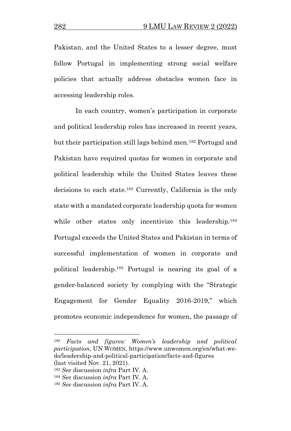Pakistan, and the United States to a lesser degree, must follow Portugal in implementing strong social welfare policies that actually address obstacles women face in accessing leadership roles.

In each country, women's participation in corporate and political leadership roles has increased in recent years, but their participation still lags behind men.<sup>182</sup> Portugal and Pakistan have required quotas for women in corporate and political leadership while the United States leaves these decisions to each state.<sup>183</sup> Currently, California is the only state with a mandated corporate leadership quota for women while other states only incentivize this leadership.<sup>184</sup> Portugal exceeds the United States and Pakistan in terms of successful implementation of women in corporate and political leadership.<sup>185</sup> Portugal is nearing its goal of a gender-balanced society by complying with the "Strategic Engagement for Gender Equality 2016-2019," which promotes economic independence for women, the passage of

<sup>182</sup> *Facts and figures: Women's leadership and political participation*, UN WOMEN, https://www.unwomen.org/en/what-wedo/leadership-and-political-participation/facts-and-figures (last visited Nov. 21, 2021).

<sup>183</sup> *See* discussion *infra* Part IV. A.

<sup>184</sup> *See* discussion *infra* Part IV. A.

<sup>185</sup> *See* discussion *infra* Part IV. A.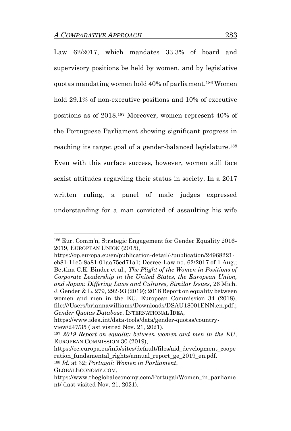Law 62/2017, which mandates 33.3% of board and supervisory positions be held by women, and by legislative quotas mandating women hold 40% of parliament. <sup>186</sup> Women hold 29.1% of non-executive positions and 10% of executive positions as of 2018. <sup>187</sup> Moreover, women represent 40% of the Portuguese Parliament showing significant progress in reaching its target goal of a gender-balanced legislature.<sup>188</sup> Even with this surface success, however, women still face sexist attitudes regarding their status in society. In a 2017 written ruling, a panel of male judges expressed understanding for a man convicted of assaulting his wife

https://op.europa.eu/en/publication-detail/-/publication/24968221 eb81-11e5-8a81-01aa75ed71a1; Decree-Law no. 62/2017 of 1 Aug.; Bettina C.K. Binder et al., *The Plight of the Women in Positions of Corporate Leadership in the United States, the European Union, and Japan: Differing Laws and Cultures, Similar Issues*, 26 Mich. J. Gender & L. 279, 292-93 (2019); 2018 Report on equality between women and men in the EU, European Commission 34 (2018), file:///Users/briannawilliams/Downloads/DSAU18001ENN.en.pdf.; *Gender Quotas Database*, INTERNATIONAL IDEA,

<sup>186</sup> Eur. Comm'n, Strategic Engagement for Gender Equality 2016- 2019, EUROPEAN UNION (2015),

[https://www.idea.int/data-tools/data/gender-quotas/country](https://www.idea.int/data-tools/data/gender-quotas/country-view/247/35)[view/247/35](https://www.idea.int/data-tools/data/gender-quotas/country-view/247/35) (last visited Nov. 21, 2021).

<sup>187</sup> *2019 Report on equality between women and men in the EU*, EUROPEAN COMMISSION 30 (2019),

https://ec.europa.eu/info/sites/default/files/aid\_development\_coope ration fundamental rights/annual report ge 2019 en.pdf.

<sup>188</sup> *Id*. at 32; *Portugal: Women in Parliament*,

GLOBALECONOMY.COM,

https://www.theglobaleconomy.com/Portugal/Women\_in\_parliame nt/ (last visited Nov. 21, 2021).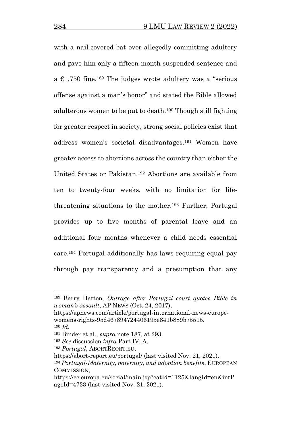with a nail-covered bat over allegedly committing adultery and gave him only a fifteen-month suspended sentence and a  $\epsilon$ 1,750 fine.<sup>189</sup> The judges wrote adultery was a "serious" offense against a man's honor" and stated the Bible allowed adulterous women to be put to death.<sup>190</sup> Though still fighting for greater respect in society, strong social policies exist that address women's societal disadvantages.<sup>191</sup> Women have greater access to abortions across the country than either the United States or Pakistan.<sup>192</sup> Abortions are available from ten to twenty-four weeks, with no limitation for lifethreatening situations to the mother.<sup>193</sup> Further, Portugal provides up to five months of parental leave and an additional four months whenever a child needs essential care.<sup>194</sup> Portugal additionally has laws requiring equal pay through pay transparency and a presumption that any

<sup>189</sup> Barry Hatton, *Outrage after Portugal court quotes Bible in woman's assault*, AP NEWS (Oct. 24, 2017),

https://apnews.com/article/portugal-international-news-europewomens-rights-95d467894724406195e841b889b75515.

<sup>190</sup> *Id.*

<sup>191</sup> Binder et al., *supra* note 187, at 293.

<sup>192</sup> *See* discussion *infra* Part IV. A.

<sup>193</sup> *Portugal*, ABORTREORT.EU,

https://abort-report.eu/portugal/ (last visited Nov. 21, 2021).

<sup>194</sup> *Portugal-Maternity, paternity, and adoption benefits*, EUROPEAN COMMISSION,

https://ec.europa.eu/social/main.jsp?catId=1125&langId=en&intP ageId=4733 (last visited Nov. 21, 2021).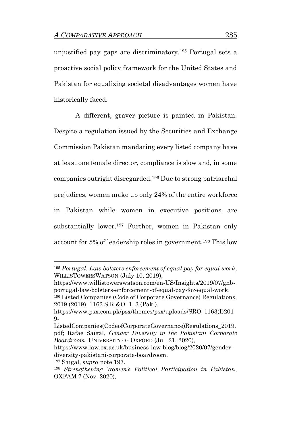unjustified pay gaps are discriminatory.<sup>195</sup> Portugal sets a proactive social policy framework for the United States and Pakistan for equalizing societal disadvantages women have historically faced.

A different, graver picture is painted in Pakistan. Despite a regulation issued by the Securities and Exchange Commission Pakistan mandating every listed company have at least one female director, compliance is slow and, in some companies outright disregarded.<sup>196</sup> Due to strong patriarchal prejudices, women make up only 24% of the entire workforce in Pakistan while women in executive positions are substantially lower.<sup>197</sup> Further, women in Pakistan only account for 5% of leadership roles in government.<sup>198</sup> This low

https://www.willistowerswatson.com/en-US/Insights/2019/07/gnbportugal-law-bolsters-enforcement-of-equal-pay-for-equal-work. <sup>196</sup> Listed Companies (Code of Corporate Governance) Regulations, 2019 (2019), 1163 S.R.&O. 1, 3 (Pak.),

https://www.law.ox.ac.uk/business-law-blog/blog/2020/07/genderdiversity-pakistani-corporate-boardroom.

<sup>195</sup> *Portugal: Law bolsters enforcement of equal pay for equal work*, WILLISTOWERSWATSON (July 10, 2019),

https://www.psx.com.pk/psx/themes/psx/uploads/SRO\_1163(I)201 9-

ListedCompanies(CodeofCorporateGovernance)Regulations\_2019. pdf; Rafae Saigal, *Gender Diversity in the Pakistani Corporate Boardroom*, UNIVERSITY OF OXFORD (Jul. 21, 2020),

<sup>197</sup> Saigal, *supra* note 197.

<sup>198</sup> *Strengthening Women's Political Participation in Pakistan*, OXFAM 7 (Nov. 2020),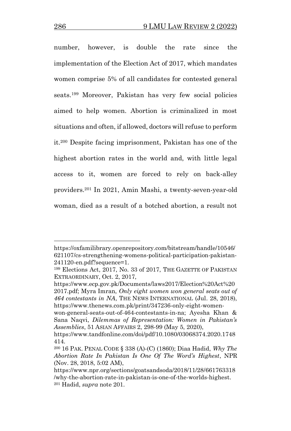number, however, is double the rate since the implementation of the Election Act of 2017, which mandates women comprise 5% of all candidates for contested general seats.<sup>199</sup> Moreover, Pakistan has very few social policies aimed to help women. Abortion is criminalized in most situations and often, if allowed, doctors will refuse to perform it.<sup>200</sup> Despite facing imprisonment, Pakistan has one of the highest abortion rates in the world and, with little legal access to it, women are forced to rely on back-alley providers.<sup>201</sup> In 2021, Amin Mashi, a twenty-seven-year-old woman, died as a result of a botched abortion, a result not

https://oxfamilibrary.openrepository.com/bitstream/handle/10546/ 621107/cs-strengthening-womens-political-participation-pakistan-241120-en.pdf?sequence=1.

<sup>199</sup> Elections Act, 2017, No. 33 of 2017, THE GAZETTE OF PAKISTAN EXTRAORDINARY, Oct. 2, 2017,

https://www.ecp.gov.pk/Documents/laws2017/Election%20Act%20 2017.pdf; Myra Imran, *Only eight women won general seats out of 464 contestants in NA*, THE NEWS INTERNATIONAL (Jul. 28, 2018), https://www.thenews.com.pk/print/347236-only-eight-women-

won-general-seats-out-of-464-contestants-in-na; Ayesha Khan & Sana Naqvi, *Dilemmas of Representation: Women in Pakistan's Assemblies*, 51 ASIAN AFFAIRS 2, 298-99 (May 5, 2020),

https://www.tandfonline.com/doi/pdf/10.1080/03068374.2020.1748 414.

<sup>200</sup> 16 PAK. PENAL CODE § 338 (A)-(C) (1860); Diaa Hadid, *Why The Abortion Rate In Pakistan Is One Of The Word's Highest*, NPR (Nov. 28, 2018, 5:02 AM),

https://www.npr.org/sections/goatsandsoda/2018/11/28/661763318 /why-the-abortion-rate-in-pakistan-is-one-of-the-worlds-highest. <sup>201</sup> Hadid, *supra* note 201.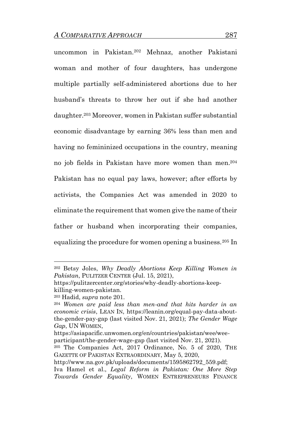uncommon in Pakistan.<sup>202</sup> Mehnaz, another Pakistani woman and mother of four daughters, has undergone multiple partially self-administered abortions due to her husband's threats to throw her out if she had another daughter.<sup>203</sup> Moreover, women in Pakistan suffer substantial economic disadvantage by earning 36% less than men and having no femininized occupations in the country, meaning no job fields in Pakistan have more women than men.<sup>204</sup> Pakistan has no equal pay laws, however; after efforts by activists, the Companies Act was amended in 2020 to eliminate the requirement that women give the name of their father or husband when incorporating their companies, equalizing the procedure for women opening a business.<sup>205</sup> In

<sup>202</sup> Betsy Joles, *Why Deadly Abortions Keep Killing Women in Pakistan*, PULITZER CENTER (Jul. 15, 2021),

https://pulitzercenter.org/stories/why-deadly-abortions-keepkilling-women-pakistan.

<sup>203</sup> Hadid, *supra* note 201.

<sup>204</sup> *Women are paid less than men-and that hits harder in an economic crisis*, LEAN IN, https://leanin.org/equal-pay-data-aboutthe-gender-pay-gap (last visited Nov. 21, 2021); *The Gender Wage Gap*, UN WOMEN,

https://asiapacific.unwomen.org/en/countries/pakistan/wee/weeparticipant/the-gender-wage-gap (last visited Nov. 21, 2021).

<sup>205</sup> The Companies Act, 2017 Ordinance, No. 5 of 2020, THE GAZETTE OF PAKISTAN EXTRAORDINARY, May 5, 2020,

http://www.na.gov.pk/uploads/documents/1595862792\_559.pdf;

Iva Hamel et al., *Legal Reform in Pakistan: One More Step Towards Gender Equality*, WOMEN ENTREPRENEURS FINANCE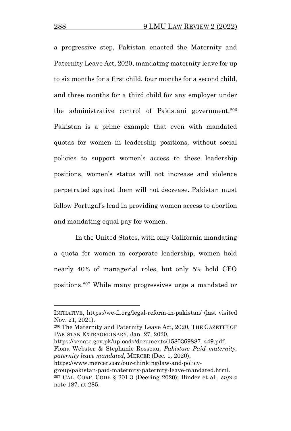a progressive step, Pakistan enacted the Maternity and Paternity Leave Act, 2020, mandating maternity leave for up to six months for a first child, four months for a second child, and three months for a third child for any employer under the administrative control of Pakistani government.<sup>206</sup> Pakistan is a prime example that even with mandated quotas for women in leadership positions, without social policies to support women's access to these leadership positions, women's status will not increase and violence perpetrated against them will not decrease. Pakistan must follow Portugal's lead in providing women access to abortion and mandating equal pay for women.

In the United States, with only California mandating a quota for women in corporate leadership, women hold nearly 40% of managerial roles, but only 5% hold CEO positions.<sup>207</sup> While many progressives urge a mandated or

https://senate.gov.pk/uploads/documents/1580369887\_449.pdf; Fiona Webster & Stephanie Rosseau, *Pakistan: Paid maternity, paternity leave mandated*, MERCER (Dec. 1, 2020),

INITIATIVE, https://we-fi.org/legal-reform-in-pakistan/ (last visited Nov. 21, 2021).

<sup>206</sup> The Maternity and Paternity Leave Act, 2020, THE GAZETTE OF PAKISTAN EXTRAORDINARY, Jan. 27, 2020,

https://www.mercer.com/our-thinking/law-and-policy-

group/pakistan-paid-maternity-paternity-leave-mandated.html. <sup>207</sup> CAL. CORP. CODE § 301.3 (Deering 2020); Binder et al., *supra* note 187, at 285.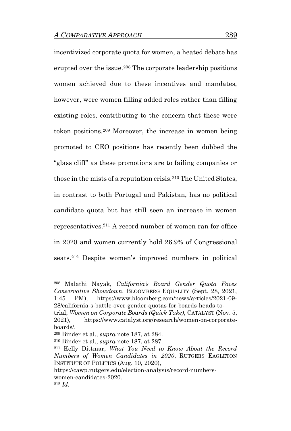incentivized corporate quota for women, a heated debate has erupted over the issue.<sup>208</sup> The corporate leadership positions women achieved due to these incentives and mandates, however, were women filling added roles rather than filling existing roles, contributing to the concern that these were token positions.<sup>209</sup> Moreover, the increase in women being promoted to CEO positions has recently been dubbed the "glass cliff" as these promotions are to failing companies or those in the mists of a reputation crisis.<sup>210</sup> The United States, in contrast to both Portugal and Pakistan, has no political candidate quota but has still seen an increase in women representatives.<sup>211</sup> A record number of women ran for office in 2020 and women currently hold 26.9% of Congressional seats. <sup>212</sup> Despite women's improved numbers in political

<sup>208</sup> Malathi Nayak, *California's Board Gender Quota Faces Conservative Showdown*, BLOOMBERG EQUALITY (Sept. 28, 2021, 1:45 PM), https://www.bloomberg.com/news/articles/2021-09- 28/california-s-battle-over-gender-quotas-for-boards-heads-to-

trial; *Women on Corporate Boards (Quick Take)*, CATALYST (Nov. 5, 2021), https://www.catalyst.org/research/women-on-corporateboards/.

<sup>209</sup> Binder et al., *supra* note 187, at 284.

<sup>210</sup> Binder et al., *supra* note 187, at 287.

<sup>211</sup> Kelly Dittmar, *What You Need to Know About the Record Numbers of Women Candidates in 2020*, RUTGERS EAGLETON INSTITUTE OF POLITICS (Aug. 10, 2020),

https://cawp.rutgers.edu/election-analysis/record-numberswomen-candidates-2020. <sup>212</sup> *Id.*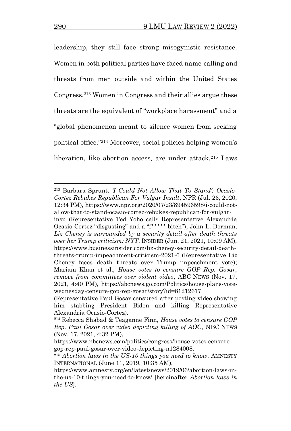leadership, they still face strong misogynistic resistance. Women in both political parties have faced name-calling and threats from men outside and within the United States Congress.<sup>213</sup> Women in Congress and their allies argue these threats are the equivalent of "workplace harassment" and a "global phenomenon meant to silence women from seeking political office." <sup>214</sup> Moreover, social policies helping women's liberation, like abortion access, are under attack.<sup>215</sup> Laws

<sup>213</sup> Barbara Sprunt, *'I Could Not Allow That To Stand': Ocasio-Cortez Rebukes Republican For Vulgar Insult*, NPR (Jul. 23, 2020, 12:34 PM), https://www.npr.org/2020/07/23/894596598/i-could-notallow-that-to-stand-ocasio-cortez-rebukes-republican-for-vulgar-

insu (Representative Ted Yoho calls Representative Alexandria Ocasio-Cortez "disgusting" and a "f\*\*\*\*\* bitch"); John L. Dorman, *Liz Cheney is surrounded by a security detail after death threats over her Trump criticism: NYT*, INSIDER (Jun. 21, 2021, 10:09 AM), https://www.businessinsider.com/liz-cheney-security-detail-deaththreats-trump-impeachment-criticism-2021-6 (Representative Liz Cheney faces death threats over Trump impeachment vote); Mariam Khan et al., *House votes to censure GOP Rep. Gosar, remove from committees over violent video*, ABC NEWS (Nov. 17, 2021, 4:40 PM), https://abcnews.go.com/Politics/house-plans-votewednesday-censure-gop-rep-gosar/story?id=81212617

<sup>(</sup>Representative Paul Gosar censured after posting video showing him stabbing President Biden and killing Representative Alexandria Ocasio-Cortez).

<sup>214</sup> Rebecca Shabad & Teaganne Finn*, House votes to censure GOP Rep. Paul Gosar over video depicting killing of AOC*, NBC NEWS (Nov. 17, 2021, 4:32 PM),

https://www.nbcnews.com/politics/congress/house-votes-censuregop-rep-paul-gosar-over-video-depicting-n1284008.

<sup>215</sup> *Abortion laws in the US-10 things you need to know*, AMNESTY INTERNATIONAL (June 11, 2019, 10:35 AM),

https://www.amnesty.org/en/latest/news/2019/06/abortion-laws-inthe-us-10-things-you-need-to-know/ [hereinafter *Abortion laws in the US*].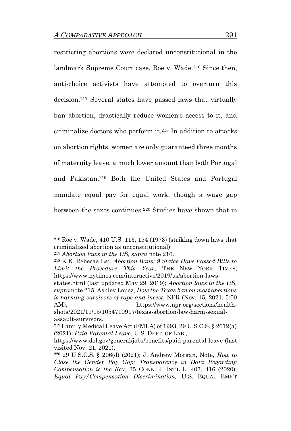restricting abortions were declared unconstitutional in the landmark Supreme Court case, Roe v. Wade. <sup>216</sup> Since then, anti-choice activists have attempted to overturn this decision.<sup>217</sup> Several states have passed laws that virtually ban abortion, drastically reduce women's access to it, and criminalize doctors who perform it.<sup>218</sup> In addition to attacks on abortion rights, women are only guaranteed three months of maternity leave, a much lower amount than both Portugal and Pakistan.<sup>219</sup> Both the United States and Portugal mandate equal pay for equal work, though a wage gap between the sexes continues.<sup>220</sup> Studies have shown that in

<sup>216</sup> Roe v. Wade, 410 U.S. 113, 154 (1973) (striking down laws that criminalized abortion as unconstitutional).

<sup>217</sup> *Abortion laws in the US, supra* note 216.

<sup>218</sup> K.K. Rebecaa Lai, *Abortion Bans: 9 States Have Passed Bills to Limit the Procedure This Year*, THE NEW YORK TIMES, https://www.nytimes.com/interactive/2019/us/abortion-laws-

states.html (last updated May 29, 2019); *Abortion laws in the US, supra* note 215; Ashley Lopez, *How the Texas ban on most abortions is harming survivors of rape and incest*, NPR (Nov. 15, 2021, 5:00 AM), https://www.npr.org/sections/health-

shots/2021/11/15/1054710917/texas-abortion-law-harm-sexualassault-survivors.

<sup>219</sup> Family Medical Leave Act (FMLA) of 1993, 29 U.S.C.S. § 2612(a) (2021); *Paid Parental Leave*, U.S. DEPT. OF LAB.,

https://www.dol.gov/general/jobs/benefits/paid-parental-leave (last visited Nov. 21, 2021).

<sup>220</sup> 29 U.S.C.S. § 206(d) (2021); J. Andrew Morgan, Note, *How to Close the Gender Pay Gap: Transparency in Data Regarding Compensation is the Key*, 35 CONN. J. INT'L L. 407, 416 (2020); *Equal Pay/Compensation Discrimination,* U.S. EQUAL EMP'T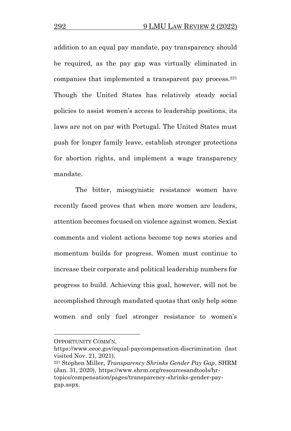addition to an equal pay mandate, pay transparency should be required, as the pay gap was virtually eliminated in companies that implemented a transparent pay process.<sup>221</sup> Though the United States has relatively steady social policies to assist women's access to leadership positions, its laws are not on par with Portugal. The United States must push for longer family leave, establish stronger protections for abortion rights, and implement a wage transparency mandate.

The bitter, misogynistic resistance women have recently faced proves that when more women are leaders, attention becomes focused on violence against women. Sexist comments and violent actions become top news stories and momentum builds for progress. Women must continue to increase their corporate and political leadership numbers for progress to build. Achieving this goal, however, will not be accomplished through mandated quotas that only help some women and only fuel stronger resistance to women's

OPPORTUNITY COMM'N,

https://www.eeoc.gov/equal-paycompensation-discrimination (last visited Nov. 21, 2021).

<sup>221</sup> Stephen Miller, *Transparency Shrinks Gender Pay Gap*, SHRM (Jan. 31, 2020), https://www.shrm.org/resourcesandtools/hrtopics/compensation/pages/transparency-shrinks-gender-paygap.aspx.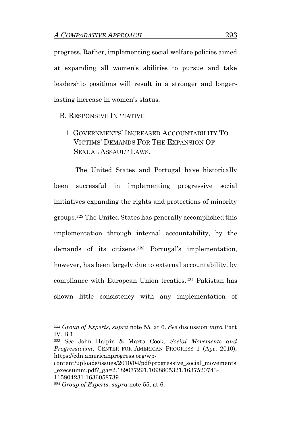progress. Rather, implementing social welfare policies aimed at expanding all women's abilities to pursue and take leadership positions will result in a stronger and longerlasting increase in women's status.

B. RESPONSIVE INITIATIVE

1. GOVERNMENTS' INCREASED ACCOUNTABILITY TO VICTIMS' DEMANDS FOR THE EXPANSION OF SEXUAL ASSAULT LAWS.

The United States and Portugal have historically been successful in implementing progressive social initiatives expanding the rights and protections of minority groups.<sup>222</sup> The United States has generally accomplished this implementation through internal accountability, by the demands of its citizens.<sup>223</sup> Portugal's implementation, however, has been largely due to external accountability, by compliance with European Union treaties.<sup>224</sup> Pakistan has shown little consistency with any implementation of

*<sup>222</sup> Group of Experts, supra* note 55, at 6. *See* discussion *infra* Part IV. B.1.

<sup>223</sup> *See* John Halpin & Marta Cook, *Social Movements and Progressivism*, CENTER FOR AMERICAN PROGRESS 1 (Apr. 2010), https://cdn.americanprogress.org/wp-

content/uploads/issues/2010/04/pdf/progressive\_social\_movements \_execsumm.pdf?\_ga=2.189077291.1098805321.1637520743- 115804231.1636058739.

<sup>224</sup> *Group of Experts, supra* note 55, at 6.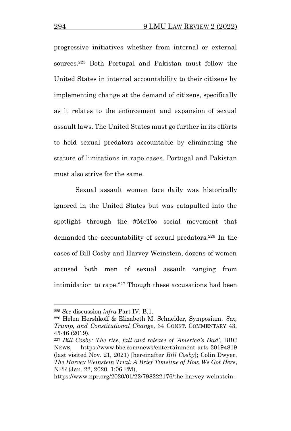progressive initiatives whether from internal or external sources.<sup>225</sup> Both Portugal and Pakistan must follow the United States in internal accountability to their citizens by implementing change at the demand of citizens, specifically as it relates to the enforcement and expansion of sexual assault laws. The United States must go further in its efforts to hold sexual predators accountable by eliminating the statute of limitations in rape cases. Portugal and Pakistan must also strive for the same.

Sexual assault women face daily was historically ignored in the United States but was catapulted into the spotlight through the #MeToo social movement that demanded the accountability of sexual predators.<sup>226</sup> In the cases of Bill Cosby and Harvey Weinstein, dozens of women accused both men of sexual assault ranging from intimidation to rape.<sup>227</sup> Though these accusations had been

<sup>225</sup> *See* discussion *infra* Part IV. B.1.

<sup>226</sup> Helen Hershkoff & Elizabeth M. Schneider, Symposium, *Sex, Trump, and Constitutional Change*, 34 CONST. COMMENTARY 43, 45-46 (2019).

<sup>227</sup> *Bill Cosby: The rise, fall and release of 'America's Dad'*, BBC NEWS, https://www.bbc.com/news/entertainment-arts-30194819 (last visited Nov. 21, 2021) [hereinafter *Bill Cosby*]; Colin Dwyer, *The Harvey Weinstein Trial: A Brief Timeline of How We Got Here*, NPR (Jan. 22, 2020, 1:06 PM),

https://www.npr.org/2020/01/22/798222176/the-harvey-weinstein-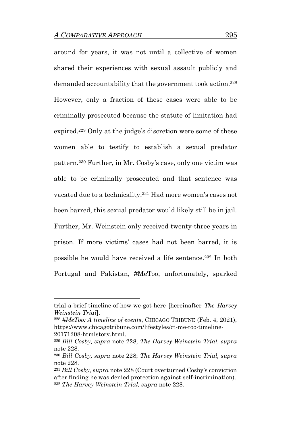around for years, it was not until a collective of women shared their experiences with sexual assault publicly and demanded accountability that the government took action.<sup>228</sup> However, only a fraction of these cases were able to be criminally prosecuted because the statute of limitation had expired.<sup>229</sup> Only at the judge's discretion were some of these women able to testify to establish a sexual predator pattern.<sup>230</sup> Further, in Mr. Cosby's case, only one victim was able to be criminally prosecuted and that sentence was vacated due to a technicality.<sup>231</sup> Had more women's cases not been barred, this sexual predator would likely still be in jail. Further, Mr. Weinstein only received twenty-three years in prison. If more victims' cases had not been barred, it is possible he would have received a life sentence.<sup>232</sup> In both Portugal and Pakistan, #MeToo, unfortunately, sparked

trial-a-brief-timeline-of-how-we-got-here [hereinafter *The Harvey Weinstein Trial*].

<sup>228</sup> *#MeToo: A timeline of events*, CHICAGO TRIBUNE (Feb. 4, 2021), https://www.chicagotribune.com/lifestyles/ct-me-too-timeline-20171208-htmlstory.html.

<sup>229</sup> *Bill Cosby, supra* note 228; *The Harvey Weinstein Trial, supra* note 228.

<sup>230</sup> *Bill Cosby, supra* note 228; *The Harvey Weinstein Trial, supra* note 228.

<sup>231</sup> *Bill Cosby, supra* note 228 (Court overturned Cosby's conviction after finding he was denied protection against self-incrimination). <sup>232</sup> *The Harvey Weinstein Trial, supra* note 228.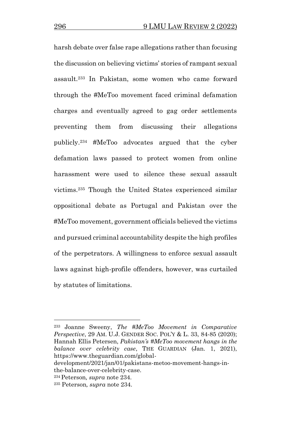harsh debate over false rape allegations rather than focusing the discussion on believing victims' stories of rampant sexual assault.<sup>233</sup> In Pakistan, some women who came forward through the #MeToo movement faced criminal defamation charges and eventually agreed to gag order settlements preventing them from discussing their allegations publicly.<sup>234</sup> #MeToo advocates argued that the cyber defamation laws passed to protect women from online harassment were used to silence these sexual assault victims.<sup>235</sup> Though the United States experienced similar oppositional debate as Portugal and Pakistan over the #MeToo movement, government officials believed the victims and pursued criminal accountability despite the high profiles of the perpetrators. A willingness to enforce sexual assault laws against high-profile offenders, however, was curtailed by statutes of limitations.

<sup>233</sup> Joanne Sweeny, *The #MeToo Movement in Comparative Perspective*, 29 AM. U.J. GENDER SOC. POL'Y & L. 33, 84-85 (2020); Hannah Ellis Petersen, *Pakistan's #MeToo movement hangs in the balance over celebrity case*, THE GUARDIAN (Jan. 1, 2021), https://www.theguardian.com/global-

development/2021/jan/01/pakistans-metoo-movement-hangs-inthe-balance-over-celebrity-case.

<sup>234</sup>Peterson*, supra* note 234.

<sup>235</sup> Peterson*, supra* note 234.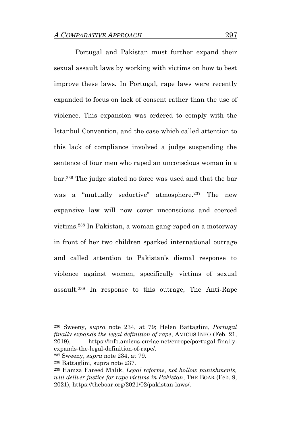Portugal and Pakistan must further expand their sexual assault laws by working with victims on how to best improve these laws. In Portugal, rape laws were recently expanded to focus on lack of consent rather than the use of violence. This expansion was ordered to comply with the Istanbul Convention, and the case which called attention to this lack of compliance involved a judge suspending the sentence of four men who raped an unconscious woman in a bar.<sup>236</sup> The judge stated no force was used and that the bar was a "mutually seductive" atmosphere.<sup>237</sup> The new expansive law will now cover unconscious and coerced victims.<sup>238</sup> In Pakistan, a woman gang-raped on a motorway in front of her two children sparked international outrage and called attention to Pakistan's dismal response to violence against women, specifically victims of sexual assault.<sup>239</sup> In response to this outrage, The Anti-Rape

<sup>236</sup> Sweeny, *supra* note 234, at 79; Helen Battaglini, *Portugal finally expands the legal definition of rape*, AMICUS INFO (Feb. 21, 2019), https://info.amicus-curiae.net/europe/portugal-finallyexpands-the-legal-definition-of-rape/.

<sup>237</sup> Sweeny, *supra* note 234, at 79.

<sup>238</sup> Battaglini, supra note 237.

<sup>239</sup> Hamza Fareed Malik, *Legal reforms, not hollow punishments, will deliver justice for rape victims in Pakistan*, THE BOAR (Feb. 9, 2021), https://theboar.org/2021/02/pakistan-laws/.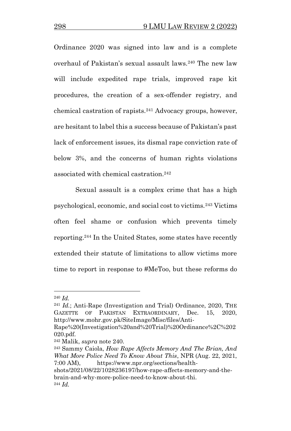Ordinance 2020 was signed into law and is a complete overhaul of Pakistan's sexual assault laws.<sup>240</sup> The new law will include expedited rape trials, improved rape kit procedures, the creation of a sex-offender registry, and chemical castration of rapists.<sup>241</sup> Advocacy groups, however, are hesitant to label this a success because of Pakistan's past lack of enforcement issues, its dismal rape conviction rate of below 3%, and the concerns of human rights violations associated with chemical castration.<sup>242</sup>

Sexual assault is a complex crime that has a high psychological, economic, and social cost to victims.<sup>243</sup> Victims often feel shame or confusion which prevents timely reporting.<sup>244</sup> In the United States, some states have recently extended their statute of limitations to allow victims more time to report in response to #MeToo, but these reforms do

<sup>240</sup> *Id.*

<sup>241</sup> *Id.*; Anti-Rape (Investigation and Trial) Ordinance, 2020, THE GAZETTE OF PAKISTAN EXTRAORDINARY, Dec. 15, 2020, http://www.mohr.gov.pk/SiteImage/Misc/files/Anti-

Rape%20(Investigation%20and%20Trial)%20Ordinance%2C%202 020.pdf.

<sup>242</sup> Malik, *supra* note 240.

<sup>243</sup> Sammy Caiola, *How Rape Affects Memory And The Brian, And What More Police Need To Know About This*, NPR (Aug. 22, 2021, 7:00 AM), https://www.npr.org/sections/health-

shots/2021/08/22/1028236197/how-rape-affects-memory-and-thebrain-and-why-more-police-need-to-know-about-thi. <sup>244</sup> *Id.*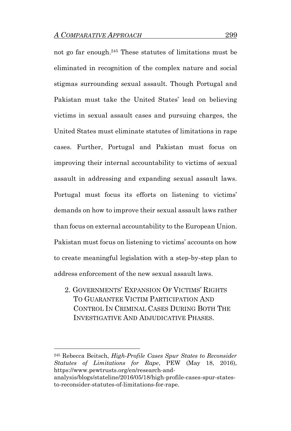not go far enough. <sup>245</sup> These statutes of limitations must be eliminated in recognition of the complex nature and social stigmas surrounding sexual assault. Though Portugal and Pakistan must take the United States' lead on believing victims in sexual assault cases and pursuing charges, the United States must eliminate statutes of limitations in rape cases. Further, Portugal and Pakistan must focus on improving their internal accountability to victims of sexual assault in addressing and expanding sexual assault laws. Portugal must focus its efforts on listening to victims' demands on how to improve their sexual assault laws rather than focus on external accountability to the European Union. Pakistan must focus on listening to victims' accounts on how to create meaningful legislation with a step-by-step plan to address enforcement of the new sexual assault laws.

2. GOVERNMENTS' EXPANSION OF VICTIMS' RIGHTS TO GUARANTEE VICTIM PARTICIPATION AND CONTROL IN CRIMINAL CASES DURING BOTH THE INVESTIGATIVE AND ADJUDICATIVE PHASES.

<sup>245</sup> Rebecca Beitsch, *High-Profile Cases Spur States to Reconsider Statutes of Limitations for Rape*, PEW (May 18, 2016), https://www.pewtrusts.org/en/research-and-

analysis/blogs/stateline/2016/05/18/high-profile-cases-spur-statesto-reconsider-statutes-of-limitations-for-rape.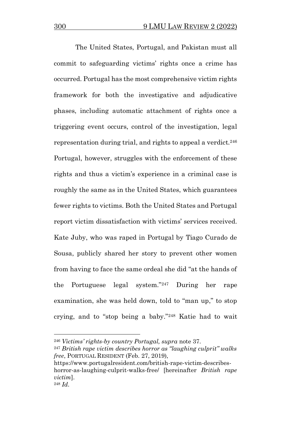The United States, Portugal, and Pakistan must all commit to safeguarding victims' rights once a crime has occurred. Portugal has the most comprehensive victim rights framework for both the investigative and adjudicative phases, including automatic attachment of rights once a triggering event occurs, control of the investigation, legal representation during trial, and rights to appeal a verdict.<sup>246</sup> Portugal, however, struggles with the enforcement of these rights and thus a victim's experience in a criminal case is roughly the same as in the United States, which guarantees fewer rights to victims. Both the United States and Portugal report victim dissatisfaction with victims' services received. Kate Juby, who was raped in Portugal by Tiago Curado de Sousa, publicly shared her story to prevent other women from having to face the same ordeal she did "at the hands of the Portuguese legal system."<sup>247</sup> During her rape examination, she was held down, told to "man up," to stop crying, and to "stop being a baby."<sup>248</sup> Katie had to wait

<sup>246</sup> *Victims' rights-by country Portugal, supra* note 37.

<sup>247</sup> *British rape victim describes horror as "laughing culprit" walks free*, PORTUGAL RESIDENT (Feb. 27, 2019),

https://www.portugalresident.com/british-rape-victim-describeshorror-as-laughing-culprit-walks-free/ [hereinafter *British rape victim*]. <sup>248</sup> *Id*.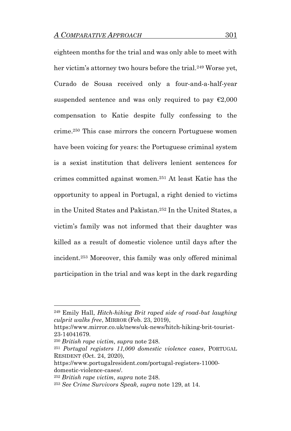eighteen months for the trial and was only able to meet with her victim's attorney two hours before the trial.<sup>249</sup> Worse yet, Curado de Sousa received only a four-and-a-half-year suspended sentence and was only required to pay  $\epsilon$ 2,000 compensation to Katie despite fully confessing to the crime.<sup>250</sup> This case mirrors the concern Portuguese women have been voicing for years: the Portuguese criminal system is a sexist institution that delivers lenient sentences for crimes committed against women.<sup>251</sup> At least Katie has the opportunity to appeal in Portugal, a right denied to victims in the United States and Pakistan.<sup>252</sup> In the United States, a victim's family was not informed that their daughter was killed as a result of domestic violence until days after the incident.<sup>253</sup> Moreover, this family was only offered minimal participation in the trial and was kept in the dark regarding

<sup>249</sup> Emily Hall, *Hitch-hiking Brit raped side of road-but laughing culprit walks free*, MIRROR (Feb. 23, 2019),

https://www.mirror.co.uk/news/uk-news/hitch-hiking-brit-tourist-23-14041679.

<sup>250</sup> *British rape victim, supra* note 248.

<sup>251</sup> *Portugal registers 11,000 domestic violence cases*, PORTUGAL RESIDENT (Oct. 24, 2020),

https://www.portugalresident.com/portugal-registers-11000 domestic-violence-cases/.

<sup>252</sup> *British rape victim, supra* note 248.

<sup>253</sup> *See Crime Survivors Speak, supra* note 129, at 14.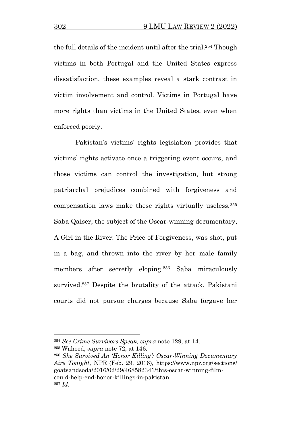the full details of the incident until after the trial.<sup>254</sup> Though victims in both Portugal and the United States express dissatisfaction, these examples reveal a stark contrast in victim involvement and control. Victims in Portugal have more rights than victims in the United States, even when enforced poorly.

Pakistan's victims' rights legislation provides that victims' rights activate once a triggering event occurs, and those victims can control the investigation, but strong patriarchal prejudices combined with forgiveness and compensation laws make these rights virtually useless.<sup>255</sup> Saba Qaiser, the subject of the Oscar-winning documentary, A Girl in the River: The Price of Forgiveness, was shot, put in a bag, and thrown into the river by her male family members after secretly eloping.<sup>256</sup> Saba miraculously survived.<sup>257</sup> Despite the brutality of the attack, Pakistani courts did not pursue charges because Saba forgave her

<sup>254</sup> *See Crime Survivors Speak, supra* note 129, at 14.

<sup>255</sup> Waheed, *supra* note 72, at 146.

<sup>256</sup> *She Survived An 'Honor Killing': Oscar-Winning Documentary Airs Tonight,* NPR (Feb. 29, 2016), https://www.npr.org/sections/ goatsandsoda/2016/02/29/468582341/this-oscar-winning-filmcould-help-end-honor-killings-in-pakistan. <sup>257</sup> *Id.*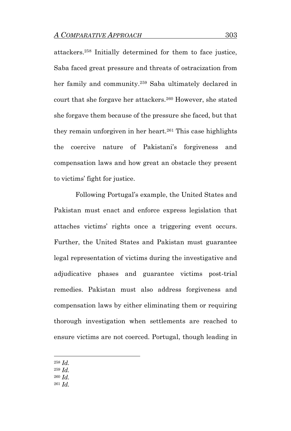attackers.<sup>258</sup> Initially determined for them to face justice, Saba faced great pressure and threats of ostracization from her family and community.<sup>259</sup> Saba ultimately declared in court that she forgave her attackers.<sup>260</sup> However, she stated she forgave them because of the pressure she faced, but that they remain unforgiven in her heart.<sup>261</sup> This case highlights the coercive nature of Pakistani's forgiveness and compensation laws and how great an obstacle they present to victims' fight for justice.

Following Portugal's example, the United States and Pakistan must enact and enforce express legislation that attaches victims' rights once a triggering event occurs. Further, the United States and Pakistan must guarantee legal representation of victims during the investigative and adjudicative phases and guarantee victims post-trial remedies. Pakistan must also address forgiveness and compensation laws by either eliminating them or requiring thorough investigation when settlements are reached to ensure victims are not coerced. Portugal, though leading in

<sup>258</sup> *Id.*

<sup>259</sup> *Id.* 

<sup>260</sup> *Id.*

<sup>261</sup> *Id.*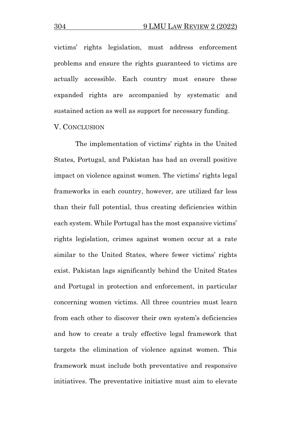victims' rights legislation, must address enforcement problems and ensure the rights guaranteed to victims are actually accessible. Each country must ensure these expanded rights are accompanied by systematic and sustained action as well as support for necessary funding.

V. CONCLUSION

The implementation of victims' rights in the United States, Portugal, and Pakistan has had an overall positive impact on violence against women. The victims' rights legal frameworks in each country, however, are utilized far less than their full potential, thus creating deficiencies within each system. While Portugal has the most expansive victims' rights legislation, crimes against women occur at a rate similar to the United States, where fewer victims' rights exist. Pakistan lags significantly behind the United States and Portugal in protection and enforcement, in particular concerning women victims. All three countries must learn from each other to discover their own system's deficiencies and how to create a truly effective legal framework that targets the elimination of violence against women. This framework must include both preventative and responsive initiatives. The preventative initiative must aim to elevate